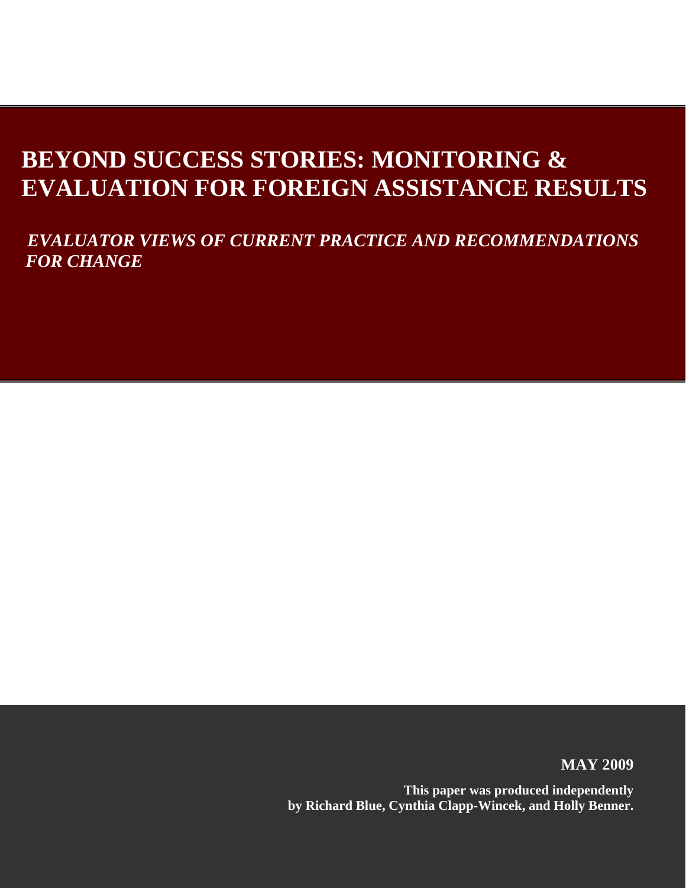# **BEYOND SUCCESS STORIES: MONITORING & EVALUATION FOR FOREIGN ASSISTANCE RESULTS**

 *EVALUATOR VIEWS OF CURRENT PRACTICE AND RECOMMENDATIONS FOR CHANGE* 

**MAY 2009**

**This paper was produced independently by Richard Blue, Cynthia Clapp-Wincek, and Holly Benner.**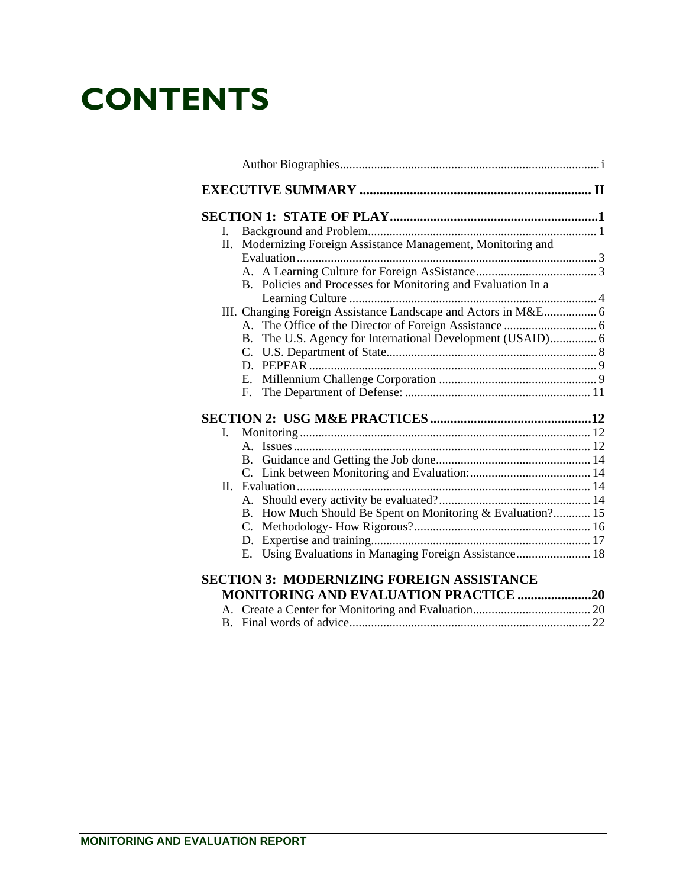# **CONTENTS**

| L.                                                            |  |
|---------------------------------------------------------------|--|
| II. Modernizing Foreign Assistance Management, Monitoring and |  |
|                                                               |  |
| B. Policies and Processes for Monitoring and Evaluation In a  |  |
|                                                               |  |
|                                                               |  |
| $\mathbf{B}$ .                                                |  |
|                                                               |  |
|                                                               |  |
|                                                               |  |
| $F_{\cdot}$                                                   |  |
|                                                               |  |
| I.                                                            |  |
|                                                               |  |
|                                                               |  |
|                                                               |  |
| H.                                                            |  |
|                                                               |  |
| B. How Much Should Be Spent on Monitoring & Evaluation? 15    |  |
| $C_{\cdot}$                                                   |  |
|                                                               |  |
| Using Evaluations in Managing Foreign Assistance 18<br>E.     |  |
| <b>SECTION 3: MODERNIZING FOREIGN ASSISTANCE</b>              |  |
| <b>MONITORING AND EVALUATION PRACTICE 20</b>                  |  |
|                                                               |  |
|                                                               |  |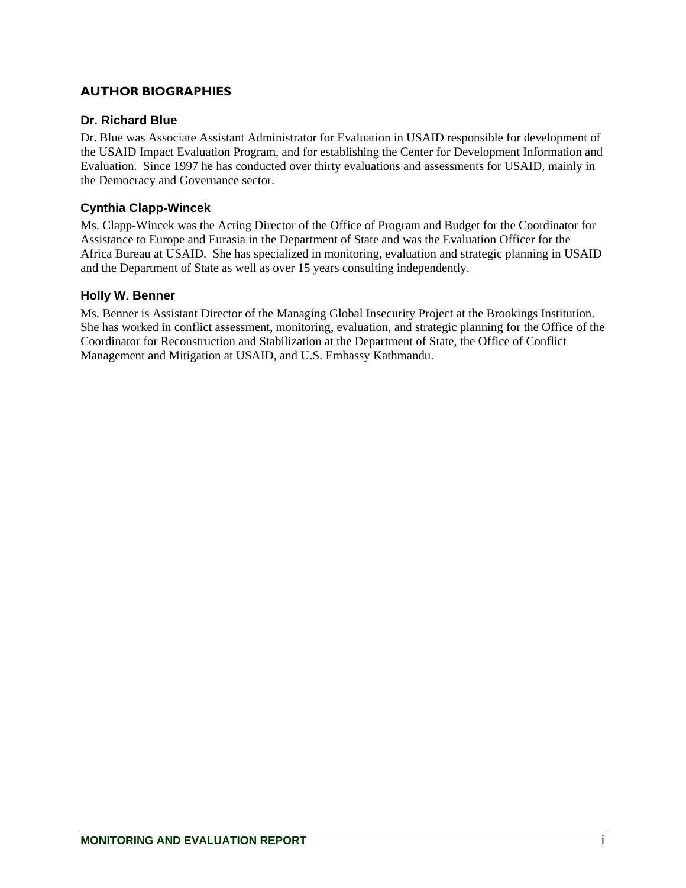### <span id="page-2-0"></span>**AUTHOR BIOGRAPHIES**

#### **Dr. Richard Blue**

Dr. Blue was Associate Assistant Administrator for Evaluation in USAID responsible for development of the USAID Impact Evaluation Program, and for establishing the Center for Development Information and Evaluation. Since 1997 he has conducted over thirty evaluations and assessments for USAID, mainly in the Democracy and Governance sector.

### **Cynthia Clapp-Wincek**

Ms. Clapp-Wincek was the Acting Director of the Office of Program and Budget for the Coordinator for Assistance to Europe and Eurasia in the Department of State and was the Evaluation Officer for the Africa Bureau at USAID. She has specialized in monitoring, evaluation and strategic planning in USAID and the Department of State as well as over 15 years consulting independently.

#### **Holly W. Benner**

Ms. Benner is Assistant Director of the Managing Global Insecurity Project at the Brookings Institution. She has worked in conflict assessment, monitoring, evaluation, and strategic planning for the Office of the Coordinator for Reconstruction and Stabilization at the Department of State, the Office of Conflict Management and Mitigation at USAID, and U.S. Embassy Kathmandu.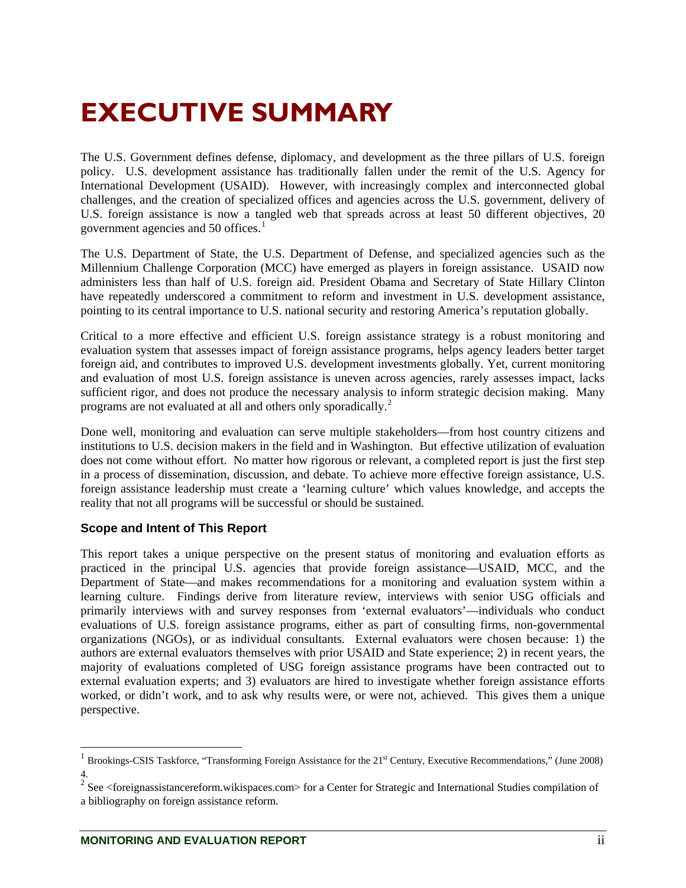# <span id="page-3-0"></span>**EXECUTIVE SUMMARY**

The U.S. Government defines defense, diplomacy, and development as the three pillars of U.S. foreign policy. U.S. development assistance has traditionally fallen under the remit of the U.S. Agency for International Development (USAID). However, with increasingly complex and interconnected global challenges, and the creation of specialized offices and agencies across the U.S. government, delivery of U.S. foreign assistance is now a tangled web that spreads across at least 50 different objectives, 20 government agencies and 50 offices. $1$ 

The U.S. Department of State, the U.S. Department of Defense, and specialized agencies such as the Millennium Challenge Corporation (MCC) have emerged as players in foreign assistance. USAID now administers less than half of U.S. foreign aid. President Obama and Secretary of State Hillary Clinton have repeatedly underscored a commitment to reform and investment in U.S. development assistance, pointing to its central importance to U.S. national security and restoring America's reputation globally.

Critical to a more effective and efficient U.S. foreign assistance strategy is a robust monitoring and evaluation system that assesses impact of foreign assistance programs, helps agency leaders better target foreign aid, and contributes to improved U.S. development investments globally. Yet, current monitoring and evaluation of most U.S. foreign assistance is uneven across agencies, rarely assesses impact, lacks sufficient rigor, and does not produce the necessary analysis to inform strategic decision making. Many programs are not evaluated at all and others only sporadically.<sup>[2](#page-3-2)</sup>

Done well, monitoring and evaluation can serve multiple stakeholders—from host country citizens and institutions to U.S. decision makers in the field and in Washington. But effective utilization of evaluation does not come without effort. No matter how rigorous or relevant, a completed report is just the first step in a process of dissemination, discussion, and debate. To achieve more effective foreign assistance, U.S. foreign assistance leadership must create a 'learning culture' which values knowledge, and accepts the reality that not all programs will be successful or should be sustained.

## **Scope and Intent of This Report**

This report takes a unique perspective on the present status of monitoring and evaluation efforts as practiced in the principal U.S. agencies that provide foreign assistance—USAID, MCC, and the Department of State—and makes recommendations for a monitoring and evaluation system within a learning culture. Findings derive from literature review, interviews with senior USG officials and primarily interviews with and survey responses from 'external evaluators'—individuals who conduct evaluations of U.S. foreign assistance programs, either as part of consulting firms, non-governmental organizations (NGOs), or as individual consultants. External evaluators were chosen because: 1) the authors are external evaluators themselves with prior USAID and State experience; 2) in recent years, the majority of evaluations completed of USG foreign assistance programs have been contracted out to external evaluation experts; and 3) evaluators are hired to investigate whether foreign assistance efforts worked, or didn't work, and to ask why results were, or were not, achieved. This gives them a unique perspective.

<span id="page-3-1"></span><sup>1</sup> Brookings-CSIS Taskforce, "Transforming Foreign Assistance for the 21st Century, Executive Recommendations," (June 2008)

<span id="page-3-2"></span><sup>4.</sup> 2 See <foreignassistancereform.wikispaces.com> for a Center for Strategic and International Studies compilation of a bibliography on foreign assistance reform.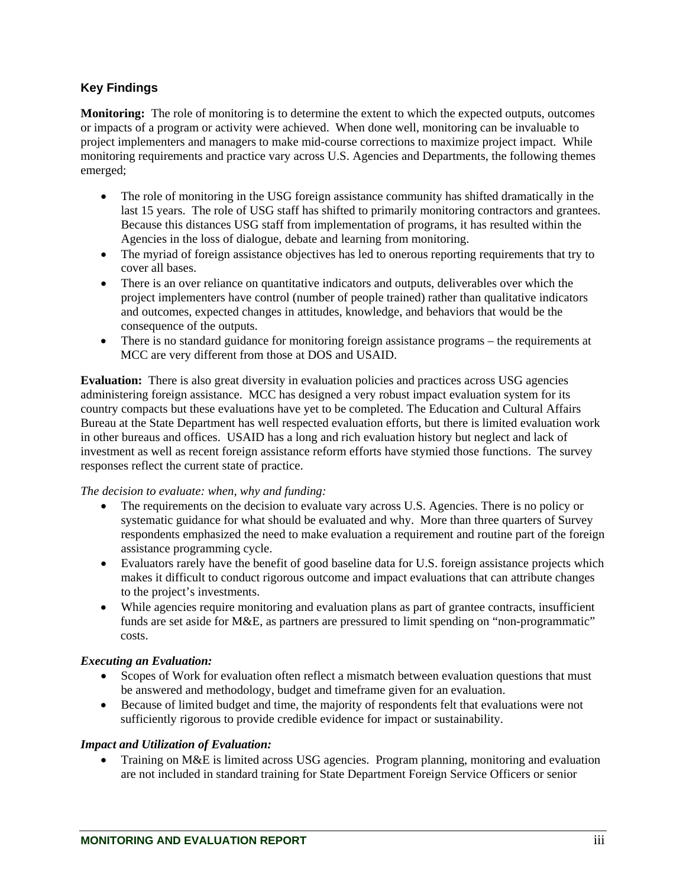### **Key Findings**

**Monitoring:** The role of monitoring is to determine the extent to which the expected outputs, outcomes or impacts of a program or activity were achieved. When done well, monitoring can be invaluable to project implementers and managers to make mid-course corrections to maximize project impact. While monitoring requirements and practice vary across U.S. Agencies and Departments, the following themes emerged;

- The role of monitoring in the USG foreign assistance community has shifted dramatically in the last 15 years. The role of USG staff has shifted to primarily monitoring contractors and grantees. Because this distances USG staff from implementation of programs, it has resulted within the Agencies in the loss of dialogue, debate and learning from monitoring.
- The myriad of foreign assistance objectives has led to onerous reporting requirements that try to cover all bases.
- There is an over reliance on quantitative indicators and outputs, deliverables over which the project implementers have control (number of people trained) rather than qualitative indicators and outcomes, expected changes in attitudes, knowledge, and behaviors that would be the consequence of the outputs.
- There is no standard guidance for monitoring foreign assistance programs the requirements at MCC are very different from those at DOS and USAID.

**Evaluation:** There is also great diversity in evaluation policies and practices across USG agencies administering foreign assistance. MCC has designed a very robust impact evaluation system for its country compacts but these evaluations have yet to be completed. The Education and Cultural Affairs Bureau at the State Department has well respected evaluation efforts, but there is limited evaluation work in other bureaus and offices. USAID has a long and rich evaluation history but neglect and lack of investment as well as recent foreign assistance reform efforts have stymied those functions. The survey responses reflect the current state of practice.

#### *The decision to evaluate: when, why and funding:*

- The requirements on the decision to evaluate vary across U.S. Agencies. There is no policy or systematic guidance for what should be evaluated and why. More than three quarters of Survey respondents emphasized the need to make evaluation a requirement and routine part of the foreign assistance programming cycle.
- Evaluators rarely have the benefit of good baseline data for U.S. foreign assistance projects which makes it difficult to conduct rigorous outcome and impact evaluations that can attribute changes to the project's investments.
- While agencies require monitoring and evaluation plans as part of grantee contracts, insufficient funds are set aside for M&E, as partners are pressured to limit spending on "non-programmatic" costs.

#### *Executing an Evaluation:*

- Scopes of Work for evaluation often reflect a mismatch between evaluation questions that must be answered and methodology, budget and timeframe given for an evaluation.
- Because of limited budget and time, the majority of respondents felt that evaluations were not sufficiently rigorous to provide credible evidence for impact or sustainability.

#### *Impact and Utilization of Evaluation:*

• Training on M&E is limited across USG agencies. Program planning, monitoring and evaluation are not included in standard training for State Department Foreign Service Officers or senior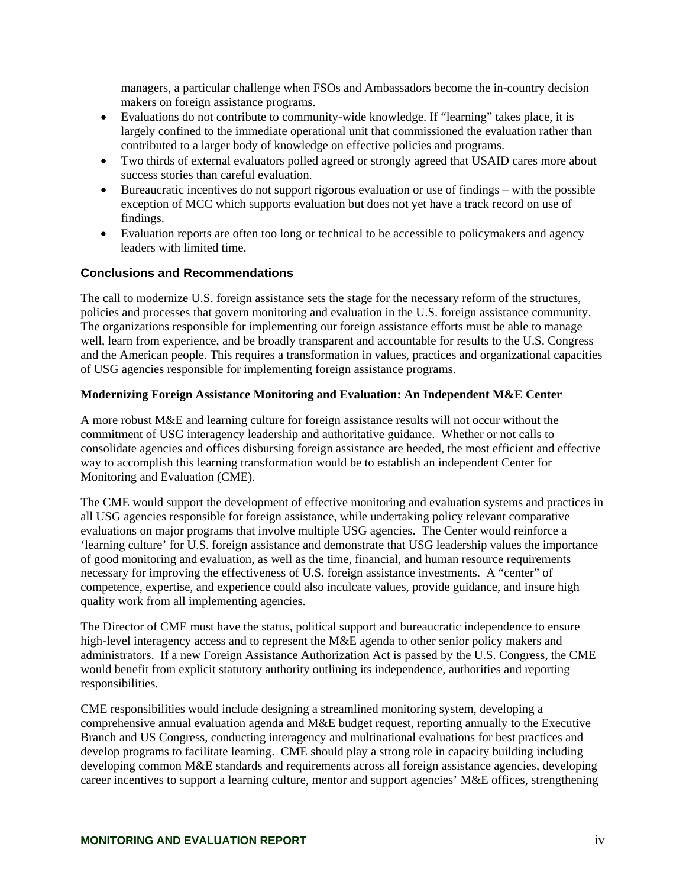managers, a particular challenge when FSOs and Ambassadors become the in-country decision makers on foreign assistance programs.

- Evaluations do not contribute to community-wide knowledge. If "learning" takes place, it is largely confined to the immediate operational unit that commissioned the evaluation rather than contributed to a larger body of knowledge on effective policies and programs.
- Two thirds of external evaluators polled agreed or strongly agreed that USAID cares more about success stories than careful evaluation.
- Bureaucratic incentives do not support rigorous evaluation or use of findings with the possible exception of MCC which supports evaluation but does not yet have a track record on use of findings.
- Evaluation reports are often too long or technical to be accessible to policymakers and agency leaders with limited time.

### **Conclusions and Recommendations**

The call to modernize U.S. foreign assistance sets the stage for the necessary reform of the structures, policies and processes that govern monitoring and evaluation in the U.S. foreign assistance community. The organizations responsible for implementing our foreign assistance efforts must be able to manage well, learn from experience, and be broadly transparent and accountable for results to the U.S. Congress and the American people. This requires a transformation in values, practices and organizational capacities of USG agencies responsible for implementing foreign assistance programs.

#### **Modernizing Foreign Assistance Monitoring and Evaluation: An Independent M&E Center**

A more robust M&E and learning culture for foreign assistance results will not occur without the commitment of USG interagency leadership and authoritative guidance. Whether or not calls to consolidate agencies and offices disbursing foreign assistance are heeded, the most efficient and effective way to accomplish this learning transformation would be to establish an independent Center for Monitoring and Evaluation (CME).

The CME would support the development of effective monitoring and evaluation systems and practices in all USG agencies responsible for foreign assistance, while undertaking policy relevant comparative evaluations on major programs that involve multiple USG agencies. The Center would reinforce a 'learning culture' for U.S. foreign assistance and demonstrate that USG leadership values the importance of good monitoring and evaluation, as well as the time, financial, and human resource requirements necessary for improving the effectiveness of U.S. foreign assistance investments. A "center" of competence, expertise, and experience could also inculcate values, provide guidance, and insure high quality work from all implementing agencies.

The Director of CME must have the status, political support and bureaucratic independence to ensure high-level interagency access and to represent the M&E agenda to other senior policy makers and administrators. If a new Foreign Assistance Authorization Act is passed by the U.S. Congress, the CME would benefit from explicit statutory authority outlining its independence, authorities and reporting responsibilities.

CME responsibilities would include designing a streamlined monitoring system, developing a comprehensive annual evaluation agenda and M&E budget request, reporting annually to the Executive Branch and US Congress, conducting interagency and multinational evaluations for best practices and develop programs to facilitate learning. CME should play a strong role in capacity building including developing common M&E standards and requirements across all foreign assistance agencies, developing career incentives to support a learning culture, mentor and support agencies' M&E offices, strengthening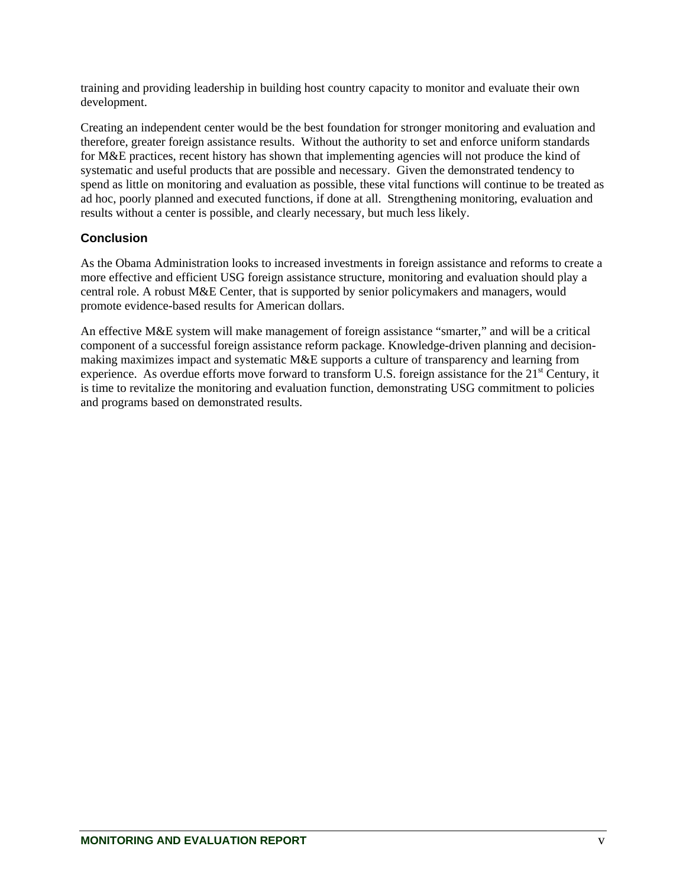training and providing leadership in building host country capacity to monitor and evaluate their own development.

Creating an independent center would be the best foundation for stronger monitoring and evaluation and therefore, greater foreign assistance results. Without the authority to set and enforce uniform standards for M&E practices, recent history has shown that implementing agencies will not produce the kind of systematic and useful products that are possible and necessary. Given the demonstrated tendency to spend as little on monitoring and evaluation as possible, these vital functions will continue to be treated as ad hoc, poorly planned and executed functions, if done at all. Strengthening monitoring, evaluation and results without a center is possible, and clearly necessary, but much less likely.

### **Conclusion**

As the Obama Administration looks to increased investments in foreign assistance and reforms to create a more effective and efficient USG foreign assistance structure, monitoring and evaluation should play a central role. A robust M&E Center, that is supported by senior policymakers and managers, would promote evidence-based results for American dollars.

An effective M&E system will make management of foreign assistance "smarter," and will be a critical component of a successful foreign assistance reform package. Knowledge-driven planning and decisionmaking maximizes impact and systematic M&E supports a culture of transparency and learning from experience. As overdue efforts move forward to transform U.S. foreign assistance for the 21<sup>st</sup> Century, it is time to revitalize the monitoring and evaluation function, demonstrating USG commitment to policies and programs based on demonstrated results.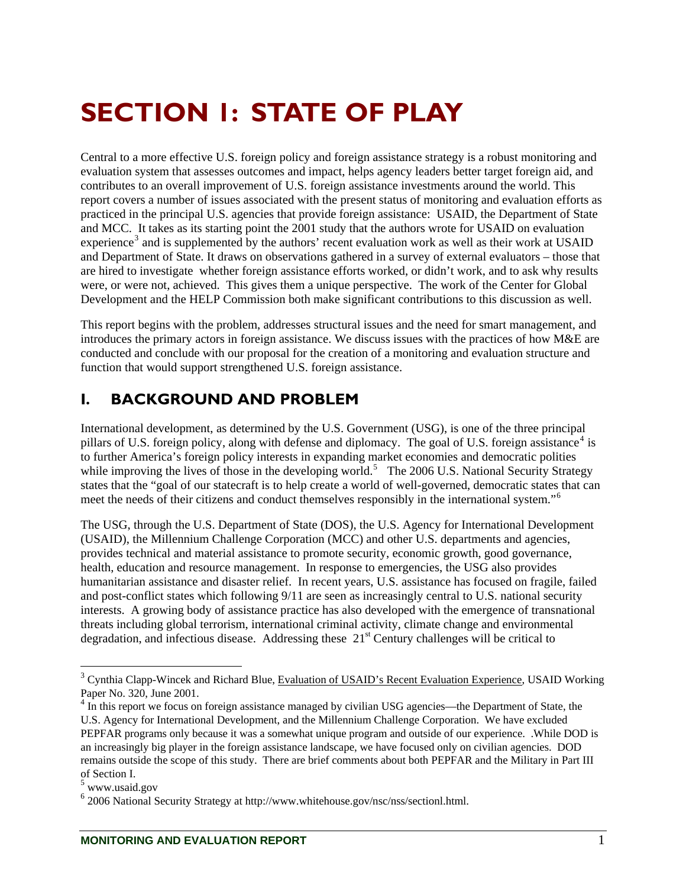# <span id="page-7-0"></span>**SECTION 1: STATE OF PLAY**

Central to a more effective U.S. foreign policy and foreign assistance strategy is a robust monitoring and evaluation system that assesses outcomes and impact, helps agency leaders better target foreign aid, and contributes to an overall improvement of U.S. foreign assistance investments around the world. This report covers a number of issues associated with the present status of monitoring and evaluation efforts as practiced in the principal U.S. agencies that provide foreign assistance: USAID, the Department of State and MCC. It takes as its starting point the 2001 study that the authors wrote for USAID on evaluation experience<sup>[3](#page-7-1)</sup> and is supplemented by the authors' recent evaluation work as well as their work at USAID and Department of State. It draws on observations gathered in a survey of external evaluators – those that are hired to investigate whether foreign assistance efforts worked, or didn't work, and to ask why results were, or were not, achieved. This gives them a unique perspective. The work of the Center for Global Development and the HELP Commission both make significant contributions to this discussion as well.

This report begins with the problem, addresses structural issues and the need for smart management, and introduces the primary actors in foreign assistance. We discuss issues with the practices of how M&E are conducted and conclude with our proposal for the creation of a monitoring and evaluation structure and function that would support strengthened U.S. foreign assistance.

# **I. BACKGROUND AND PROBLEM**

International development, as determined by the U.S. Government (USG), is one of the three principal pillars of U.S. foreign policy, along with defense and diplomacy. The goal of U.S. foreign assistance<sup>[4](#page-7-2)</sup> is to further America's foreign policy interests in expanding market economies and democratic polities while improving the lives of those in the developing world.<sup>[5](#page-7-3)</sup> The 2006 U.S. National Security Strategy states that the "goal of our statecraft is to help create a world of well-governed, democratic states that can meet the needs of their citizens and conduct themselves responsibly in the international system."[6](#page-7-4)

The USG, through the U.S. Department of State (DOS), the U.S. Agency for International Development (USAID), the Millennium Challenge Corporation (MCC) and other U.S. departments and agencies, provides technical and material assistance to promote security, economic growth, good governance, health, education and resource management. In response to emergencies, the USG also provides humanitarian assistance and disaster relief. In recent years, U.S. assistance has focused on fragile, failed and post-conflict states which following 9/11 are seen as increasingly central to U.S. national security interests. A growing body of assistance practice has also developed with the emergence of transnational threats including global terrorism, international criminal activity, climate change and environmental degradation, and infectious disease. Addressing these  $21<sup>st</sup>$  Century challenges will be critical to

<span id="page-7-1"></span><sup>&</sup>lt;sup>3</sup> Cynthia Clapp-Wincek and Richard Blue, Evaluation of USAID's Recent Evaluation Experience, USAID Working Paper No. 320, June 2001.

<span id="page-7-2"></span><sup>&</sup>lt;sup>4</sup> In this report we focus on foreign assistance managed by civilian USG agencies—the Department of State, the U.S. Agency for International Development, and the Millennium Challenge Corporation. We have excluded PEPFAR programs only because it was a somewhat unique program and outside of our experience. .While DOD is an increasingly big player in the foreign assistance landscape, we have focused only on civilian agencies. DOD remains outside the scope of this study. There are brief comments about both PEPFAR and the Military in Part III of Section I.

<span id="page-7-3"></span><sup>5</sup> www.usaid.gov

<span id="page-7-4"></span><sup>6</sup> 2006 National Security Strategy at http://www.whitehouse.gov/nsc/nss/sectionl.html.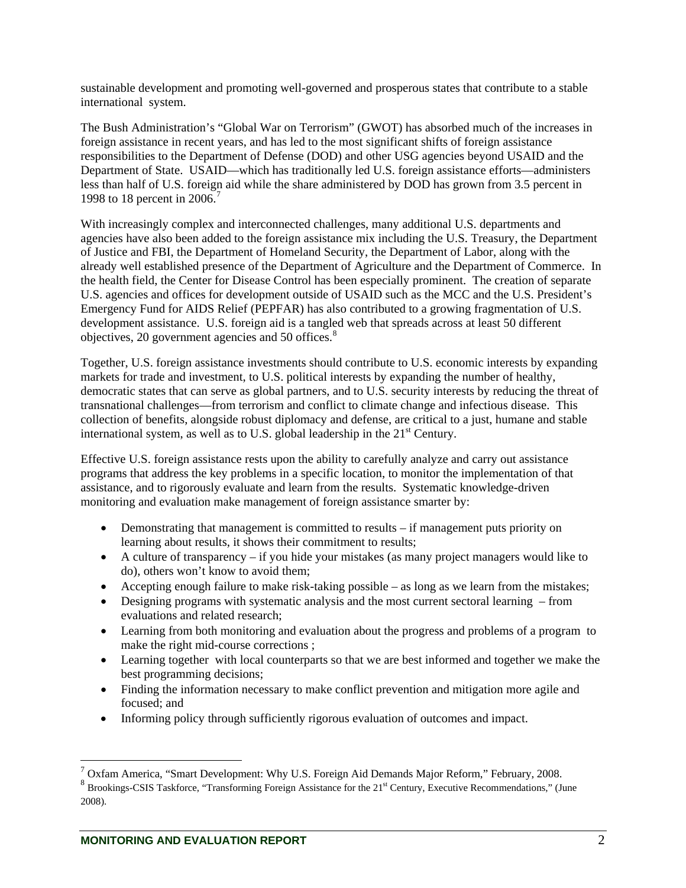sustainable development and promoting well-governed and prosperous states that contribute to a stable international system.

The Bush Administration's "Global War on Terrorism" (GWOT) has absorbed much of the increases in foreign assistance in recent years, and has led to the most significant shifts of foreign assistance responsibilities to the Department of Defense (DOD) and other USG agencies beyond USAID and the Department of State. USAID—which has traditionally led U.S. foreign assistance efforts—administers less than half of U.S. foreign aid while the share administered by DOD has grown from 3.5 percent in 1998 to 18 percent in 2006.<sup>[7](#page-8-0)</sup>

With increasingly complex and interconnected challenges, many additional U.S. departments and agencies have also been added to the foreign assistance mix including the U.S. Treasury, the Department of Justice and FBI, the Department of Homeland Security, the Department of Labor, along with the already well established presence of the Department of Agriculture and the Department of Commerce. In the health field, the Center for Disease Control has been especially prominent. The creation of separate U.S. agencies and offices for development outside of USAID such as the MCC and the U.S. President's Emergency Fund for AIDS Relief (PEPFAR) has also contributed to a growing fragmentation of U.S. development assistance. U.S. foreign aid is a tangled web that spreads across at least 50 different objectives, 20 government agencies and 50 offices.<sup>[8](#page-8-1)</sup>

Together, U.S. foreign assistance investments should contribute to U.S. economic interests by expanding markets for trade and investment, to U.S. political interests by expanding the number of healthy, democratic states that can serve as global partners, and to U.S. security interests by reducing the threat of transnational challenges—from terrorism and conflict to climate change and infectious disease. This collection of benefits, alongside robust diplomacy and defense, are critical to a just, humane and stable international system, as well as to U.S. global leadership in the  $21<sup>st</sup>$  Century.

Effective U.S. foreign assistance rests upon the ability to carefully analyze and carry out assistance programs that address the key problems in a specific location, to monitor the implementation of that assistance, and to rigorously evaluate and learn from the results. Systematic knowledge-driven monitoring and evaluation make management of foreign assistance smarter by:

- Demonstrating that management is committed to results if management puts priority on learning about results, it shows their commitment to results;
- A culture of transparency if you hide your mistakes (as many project managers would like to do), others won't know to avoid them;
- Accepting enough failure to make risk-taking possible as long as we learn from the mistakes;
- Designing programs with systematic analysis and the most current sectoral learning from evaluations and related research;
- Learning from both monitoring and evaluation about the progress and problems of a program to make the right mid-course corrections ;
- Learning together with local counterparts so that we are best informed and together we make the best programming decisions;
- Finding the information necessary to make conflict prevention and mitigation more agile and focused; and
- Informing policy through sufficiently rigorous evaluation of outcomes and impact.

<span id="page-8-0"></span> $^7$  Oxfam America, "Smart Development: Why U.S. Foreign Aid Demands Major Reform," February, 2008.

<span id="page-8-1"></span><sup>8&</sup>lt;br>Brookings-CSIS Taskforce, "Transforming Foreign Assistance for the 21<sup>st</sup> Century, Executive Recommendations," (June 2008).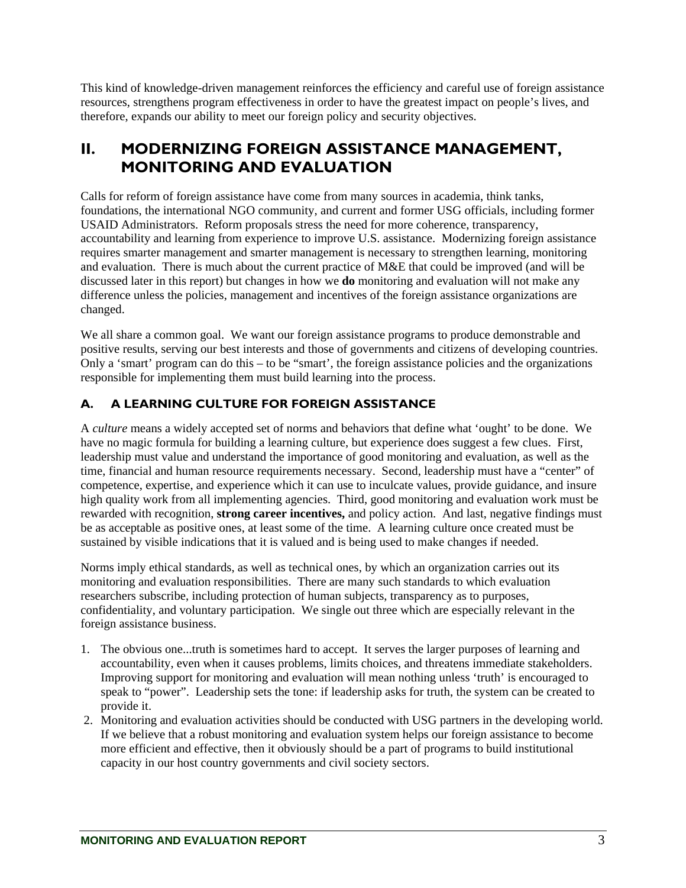<span id="page-9-0"></span>This kind of knowledge-driven management reinforces the efficiency and careful use of foreign assistance resources, strengthens program effectiveness in order to have the greatest impact on people's lives, and therefore, expands our ability to meet our foreign policy and security objectives.

# **II. MODERNIZING FOREIGN ASSISTANCE MANAGEMENT, MONITORING AND EVALUATION**

Calls for reform of foreign assistance have come from many sources in academia, think tanks, foundations, the international NGO community, and current and former USG officials, including former USAID Administrators. Reform proposals stress the need for more coherence, transparency, accountability and learning from experience to improve U.S. assistance. Modernizing foreign assistance requires smarter management and smarter management is necessary to strengthen learning, monitoring and evaluation. There is much about the current practice of M&E that could be improved (and will be discussed later in this report) but changes in how we **do** monitoring and evaluation will not make any difference unless the policies, management and incentives of the foreign assistance organizations are changed.

We all share a common goal. We want our foreign assistance programs to produce demonstrable and positive results, serving our best interests and those of governments and citizens of developing countries. Only a 'smart' program can do this – to be "smart', the foreign assistance policies and the organizations responsible for implementing them must build learning into the process.

# **A. A LEARNING CULTURE FOR FOREIGN ASSISTANCE**

A *culture* means a widely accepted set of norms and behaviors that define what 'ought' to be done. We have no magic formula for building a learning culture, but experience does suggest a few clues. First, leadership must value and understand the importance of good monitoring and evaluation, as well as the time, financial and human resource requirements necessary. Second, leadership must have a "center" of competence, expertise, and experience which it can use to inculcate values, provide guidance, and insure high quality work from all implementing agencies. Third, good monitoring and evaluation work must be rewarded with recognition, **strong career incentives,** and policy action. And last, negative findings must be as acceptable as positive ones, at least some of the time. A learning culture once created must be sustained by visible indications that it is valued and is being used to make changes if needed.

Norms imply ethical standards, as well as technical ones, by which an organization carries out its monitoring and evaluation responsibilities. There are many such standards to which evaluation researchers subscribe, including protection of human subjects, transparency as to purposes, confidentiality, and voluntary participation. We single out three which are especially relevant in the foreign assistance business.

- 1. The obvious one...truth is sometimes hard to accept. It serves the larger purposes of learning and accountability, even when it causes problems, limits choices, and threatens immediate stakeholders. Improving support for monitoring and evaluation will mean nothing unless 'truth' is encouraged to speak to "power". Leadership sets the tone: if leadership asks for truth, the system can be created to provide it.
- 2. Monitoring and evaluation activities should be conducted with USG partners in the developing world. If we believe that a robust monitoring and evaluation system helps our foreign assistance to become more efficient and effective, then it obviously should be a part of programs to build institutional capacity in our host country governments and civil society sectors.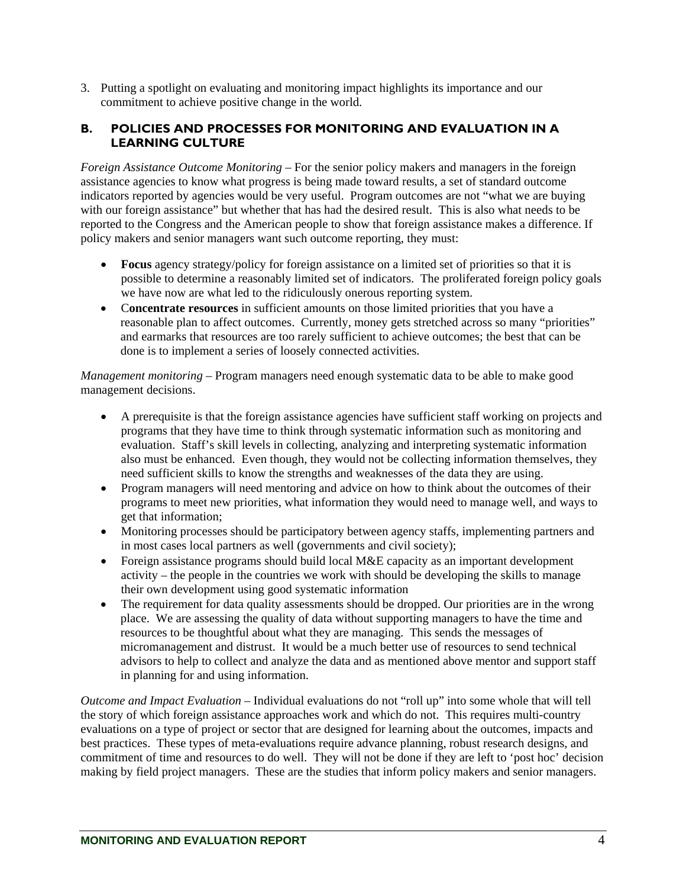<span id="page-10-0"></span>3. Putting a spotlight on evaluating and monitoring impact highlights its importance and our commitment to achieve positive change in the world.

#### **B. POLICIES AND PROCESSES FOR MONITORING AND EVALUATION IN A LEARNING CULTURE**

*Foreign Assistance Outcome Monitoring* – For the senior policy makers and managers in the foreign assistance agencies to know what progress is being made toward results, a set of standard outcome indicators reported by agencies would be very useful. Program outcomes are not "what we are buying with our foreign assistance" but whether that has had the desired result. This is also what needs to be reported to the Congress and the American people to show that foreign assistance makes a difference. If policy makers and senior managers want such outcome reporting, they must:

- **Focus** agency strategy/policy for foreign assistance on a limited set of priorities so that it is possible to determine a reasonably limited set of indicators. The proliferated foreign policy goals we have now are what led to the ridiculously onerous reporting system.
- C**oncentrate resources** in sufficient amounts on those limited priorities that you have a reasonable plan to affect outcomes. Currently, money gets stretched across so many "priorities" and earmarks that resources are too rarely sufficient to achieve outcomes; the best that can be done is to implement a series of loosely connected activities.

*Management monitoring* – Program managers need enough systematic data to be able to make good management decisions.

- A prerequisite is that the foreign assistance agencies have sufficient staff working on projects and programs that they have time to think through systematic information such as monitoring and evaluation. Staff's skill levels in collecting, analyzing and interpreting systematic information also must be enhanced. Even though, they would not be collecting information themselves, they need sufficient skills to know the strengths and weaknesses of the data they are using.
- Program managers will need mentoring and advice on how to think about the outcomes of their programs to meet new priorities, what information they would need to manage well, and ways to get that information;
- Monitoring processes should be participatory between agency staffs, implementing partners and in most cases local partners as well (governments and civil society);
- Foreign assistance programs should build local M&E capacity as an important development activity – the people in the countries we work with should be developing the skills to manage their own development using good systematic information
- The requirement for data quality assessments should be dropped. Our priorities are in the wrong place. We are assessing the quality of data without supporting managers to have the time and resources to be thoughtful about what they are managing. This sends the messages of micromanagement and distrust. It would be a much better use of resources to send technical advisors to help to collect and analyze the data and as mentioned above mentor and support staff in planning for and using information.

*Outcome and Impact Evaluation –* Individual evaluations do not "roll up" into some whole that will tell the story of which foreign assistance approaches work and which do not. This requires multi-country evaluations on a type of project or sector that are designed for learning about the outcomes, impacts and best practices. These types of meta-evaluations require advance planning, robust research designs, and commitment of time and resources to do well. They will not be done if they are left to 'post hoc' decision making by field project managers. These are the studies that inform policy makers and senior managers.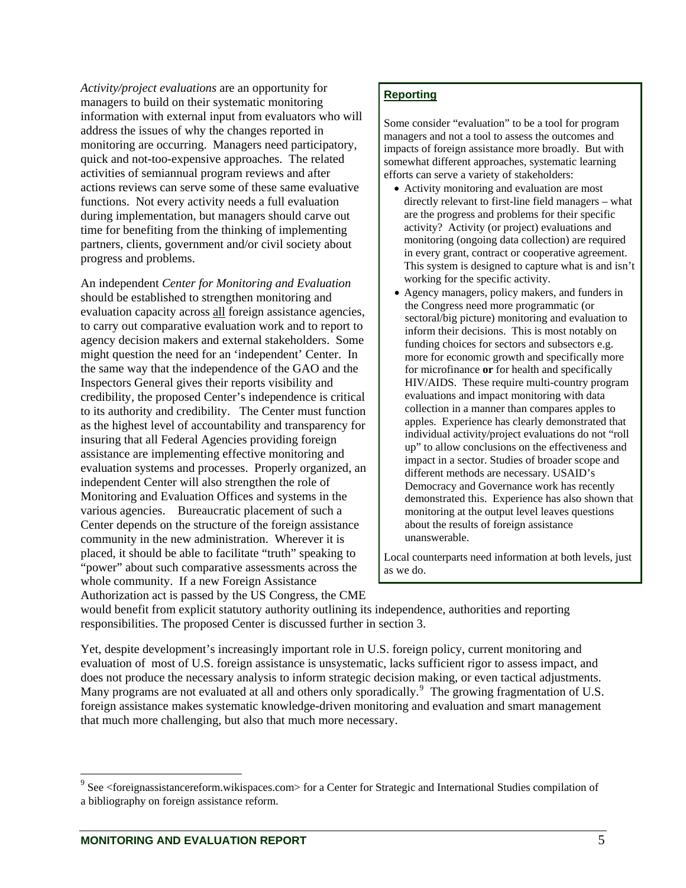*Activity/project evaluations* are an opportunity for managers to build on their systematic monitoring information with external input from evaluators who will address the issues of why the changes reported in monitoring are occurring. Managers need participatory, quick and not-too-expensive approaches. The related activities of semiannual program reviews and after actions reviews can serve some of these same evaluative functions. Not every activity needs a full evaluation during implementation, but managers should carve out time for benefiting from the thinking of implementing partners, clients, government and/or civil society about progress and problems.

An independent *Center for Monitoring and Evaluation* should be established to strengthen monitoring and evaluation capacity across all foreign assistance agencies, to carry out comparative evaluation work and to report to agency decision makers and external stakeholders. Some might question the need for an 'independent' Center. In the same way that the independence of the GAO and the Inspectors General gives their reports visibility and credibility, the proposed Center's independence is critical to its authority and credibility. The Center must function as the highest level of accountability and transparency for insuring that all Federal Agencies providing foreign assistance are implementing effective monitoring and evaluation systems and processes. Properly organized, an independent Center will also strengthen the role of Monitoring and Evaluation Offices and systems in the various agencies. Bureaucratic placement of such a Center depends on the structure of the foreign assistance community in the new administration. Wherever it is placed, it should be able to facilitate "truth" speaking to "power" about such comparative assessments across the whole community. If a new Foreign Assistance Authorization act is passed by the US Congress, the CME

#### **Reporting**

Some consider "evaluation" to be a tool for program managers and not a tool to assess the outcomes and impacts of foreign assistance more broadly. But with somewhat different approaches, systematic learning efforts can serve a variety of stakeholders:

- Activity monitoring and evaluation are most directly relevant to first-line field managers – what are the progress and problems for their specific activity? Activity (or project) evaluations and monitoring (ongoing data collection) are required in every grant, contract or cooperative agreement. This system is designed to capture what is and isn't working for the specific activity.
- Agency managers, policy makers, and funders in the Congress need more programmatic (or sectoral/big picture) monitoring and evaluation to inform their decisions. This is most notably on funding choices for sectors and subsectors e.g. more for economic growth and specifically more for microfinance **or** for health and specifically HIV/AIDS. These require multi-country program evaluations and impact monitoring with data collection in a manner than compares apples to apples. Experience has clearly demonstrated that individual activity/project evaluations do not "roll up" to allow conclusions on the effectiveness and impact in a sector. Studies of broader scope and different methods are necessary. USAID's Democracy and Governance work has recently demonstrated this. Experience has also shown that monitoring at the output level leaves questions about the results of foreign assistance unanswerable.

Local counterparts need information at both levels, just as we do.

would benefit from explicit statutory authority outlining its independence, authorities and reporting responsibilities. The proposed Center is discussed further in section 3.

Yet, despite development's increasingly important role in U.S. foreign policy, current monitoring and evaluation of most of U.S. foreign assistance is unsystematic, lacks sufficient rigor to assess impact, and does not produce the necessary analysis to inform strategic decision making, or even tactical adjustments. Many programs are not evaluated at all and others only sporadically.<sup>[9](#page-11-0)</sup> The growing fragmentation of U.S. foreign assistance makes systematic knowledge-driven monitoring and evaluation and smart management that much more challenging, but also that much more necessary.

<span id="page-11-0"></span><sup>&</sup>lt;sup>9</sup> See <foreignassistancereform.wikispaces.com> for a Center for Strategic and International Studies compilation of a bibliography on foreign assistance reform.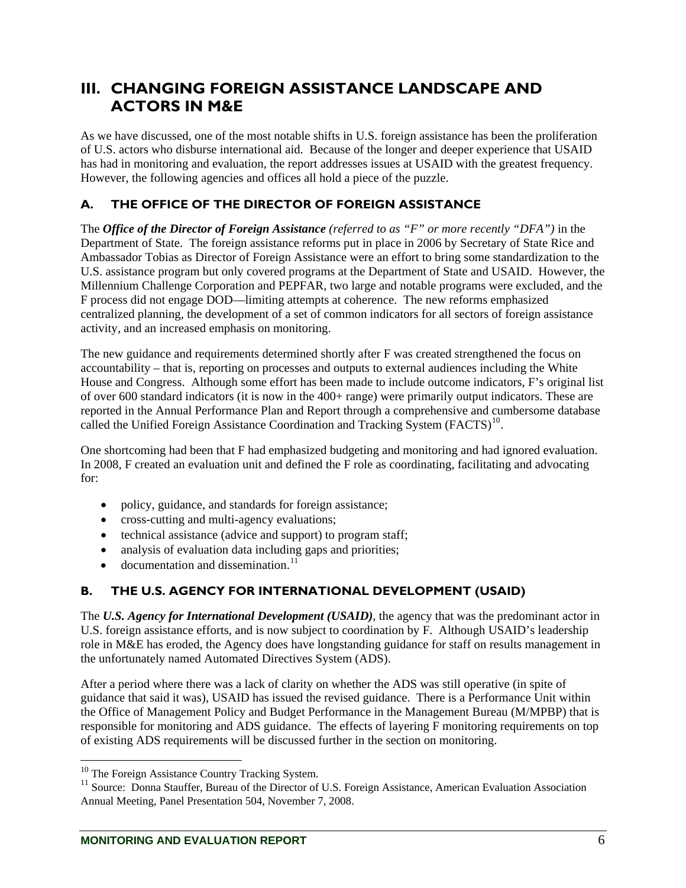# <span id="page-12-0"></span>**III. CHANGING FOREIGN ASSISTANCE LANDSCAPE AND ACTORS IN M&E**

As we have discussed, one of the most notable shifts in U.S. foreign assistance has been the proliferation of U.S. actors who disburse international aid. Because of the longer and deeper experience that USAID has had in monitoring and evaluation, the report addresses issues at USAID with the greatest frequency. However, the following agencies and offices all hold a piece of the puzzle.

## **A. THE OFFICE OF THE DIRECTOR OF FOREIGN ASSISTANCE**

The *Office of the Director of Foreign Assistance (referred to as "F" or more recently "DFA")* in the Department of State. The foreign assistance reforms put in place in 2006 by Secretary of State Rice and Ambassador Tobias as Director of Foreign Assistance were an effort to bring some standardization to the U.S. assistance program but only covered programs at the Department of State and USAID. However, the Millennium Challenge Corporation and PEPFAR, two large and notable programs were excluded, and the F process did not engage DOD—limiting attempts at coherence. The new reforms emphasized centralized planning, the development of a set of common indicators for all sectors of foreign assistance activity, and an increased emphasis on monitoring.

The new guidance and requirements determined shortly after F was created strengthened the focus on accountability – that is, reporting on processes and outputs to external audiences including the White House and Congress. Although some effort has been made to include outcome indicators, F's original list of over 600 standard indicators (it is now in the 400+ range) were primarily output indicators. These are reported in the Annual Performance Plan and Report through a comprehensive and cumbersome database called the Unified Foreign Assistance Coordination and Tracking System (FACTS)<sup>[10](#page-12-1)</sup>.

One shortcoming had been that F had emphasized budgeting and monitoring and had ignored evaluation. In 2008, F created an evaluation unit and defined the F role as coordinating, facilitating and advocating for:

- policy, guidance, and standards for foreign assistance;
- cross-cutting and multi-agency evaluations;
- technical assistance (advice and support) to program staff;
- analysis of evaluation data including gaps and priorities;
- $\bullet$  documentation and dissemination.<sup>[11](#page-12-2)</sup>

## **B. THE U.S. AGENCY FOR INTERNATIONAL DEVELOPMENT (USAID)**

The *U.S. Agency for International Development (USAID),* the agency that was the predominant actor in U.S. foreign assistance efforts, and is now subject to coordination by F. Although USAID's leadership role in M&E has eroded, the Agency does have longstanding guidance for staff on results management in the unfortunately named Automated Directives System (ADS).

After a period where there was a lack of clarity on whether the ADS was still operative (in spite of guidance that said it was), USAID has issued the revised guidance. There is a Performance Unit within the Office of Management Policy and Budget Performance in the Management Bureau (M/MPBP) that is responsible for monitoring and ADS guidance. The effects of layering F monitoring requirements on top of existing ADS requirements will be discussed further in the section on monitoring.

 $10$  The Foreign Assistance Country Tracking System.

<span id="page-12-2"></span><span id="page-12-1"></span><sup>&</sup>lt;sup>11</sup> Source: Donna Stauffer, Bureau of the Director of U.S. Foreign Assistance, American Evaluation Association Annual Meeting, Panel Presentation 504, November 7, 2008.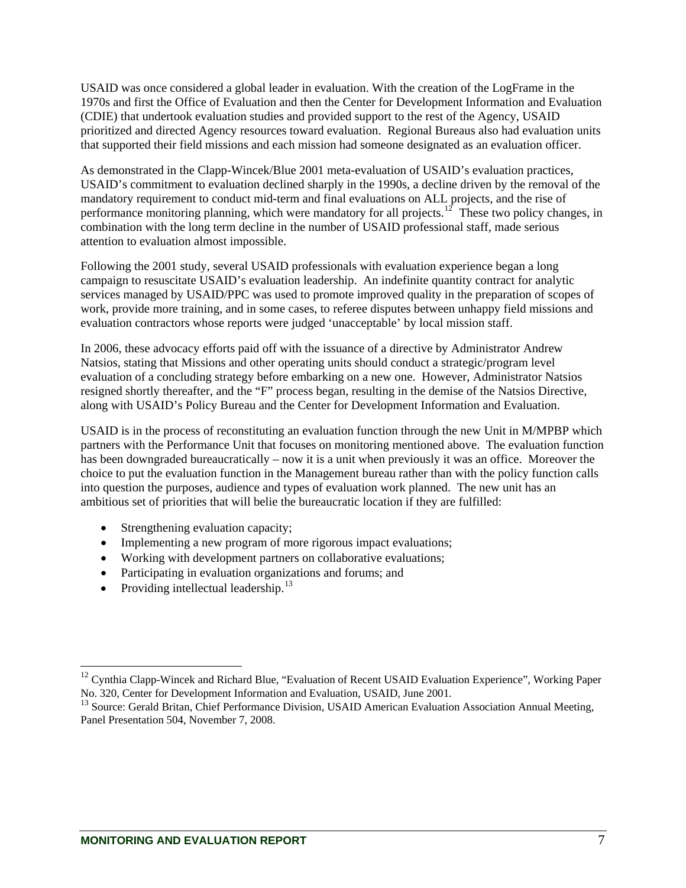USAID was once considered a global leader in evaluation. With the creation of the LogFrame in the 1970s and first the Office of Evaluation and then the Center for Development Information and Evaluation (CDIE) that undertook evaluation studies and provided support to the rest of the Agency, USAID prioritized and directed Agency resources toward evaluation. Regional Bureaus also had evaluation units that supported their field missions and each mission had someone designated as an evaluation officer.

As demonstrated in the Clapp-Wincek/Blue 2001 meta-evaluation of USAID's evaluation practices, USAID's commitment to evaluation declined sharply in the 1990s, a decline driven by the removal of the mandatory requirement to conduct mid-term and final evaluations on ALL projects, and the rise of performance monitoring planning, which were mandatory for all projects.<sup>[12](#page-13-0)</sup> These two policy changes, in combination with the long term decline in the number of USAID professional staff, made serious attention to evaluation almost impossible.

Following the 2001 study, several USAID professionals with evaluation experience began a long campaign to resuscitate USAID's evaluation leadership. An indefinite quantity contract for analytic services managed by USAID/PPC was used to promote improved quality in the preparation of scopes of work, provide more training, and in some cases, to referee disputes between unhappy field missions and evaluation contractors whose reports were judged 'unacceptable' by local mission staff.

In 2006, these advocacy efforts paid off with the issuance of a directive by Administrator Andrew Natsios, stating that Missions and other operating units should conduct a strategic/program level evaluation of a concluding strategy before embarking on a new one. However, Administrator Natsios resigned shortly thereafter, and the "F" process began, resulting in the demise of the Natsios Directive, along with USAID's Policy Bureau and the Center for Development Information and Evaluation.

USAID is in the process of reconstituting an evaluation function through the new Unit in M/MPBP which partners with the Performance Unit that focuses on monitoring mentioned above. The evaluation function has been downgraded bureaucratically – now it is a unit when previously it was an office. Moreover the choice to put the evaluation function in the Management bureau rather than with the policy function calls into question the purposes, audience and types of evaluation work planned. The new unit has an ambitious set of priorities that will belie the bureaucratic location if they are fulfilled:

- Strengthening evaluation capacity;
- Implementing a new program of more rigorous impact evaluations;
- Working with development partners on collaborative evaluations;
- Participating in evaluation organizations and forums; and
- Providing intellectual leadership. $^{13}$  $^{13}$  $^{13}$

<span id="page-13-0"></span><sup>&</sup>lt;sup>12</sup> Cynthia Clapp-Wincek and Richard Blue, "Evaluation of Recent USAID Evaluation Experience", Working Paper No. 320, Center for Development Information and Evaluation, USAID, June 2001.

<span id="page-13-1"></span><sup>&</sup>lt;sup>13</sup> Source: Gerald Britan, Chief Performance Division, USAID American Evaluation Association Annual Meeting, Panel Presentation 504, November 7, 2008.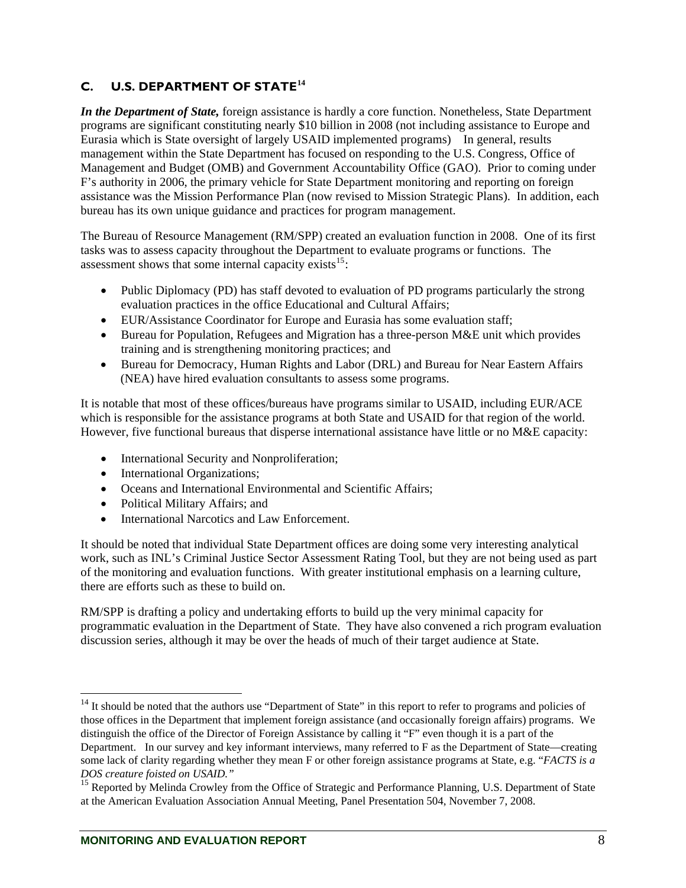# <span id="page-14-0"></span>**C. U.S. DEPARTMENT OF STATE[14](#page-14-1)**

*In the Department of State,* foreign assistance is hardly a core function. Nonetheless, State Department programs are significant constituting nearly \$10 billion in 2008 (not including assistance to Europe and Eurasia which is State oversight of largely USAID implemented programs) In general, results management within the State Department has focused on responding to the U.S. Congress, Office of Management and Budget (OMB) and Government Accountability Office (GAO). Prior to coming under F's authority in 2006, the primary vehicle for State Department monitoring and reporting on foreign assistance was the Mission Performance Plan (now revised to Mission Strategic Plans). In addition, each bureau has its own unique guidance and practices for program management.

The Bureau of Resource Management (RM/SPP) created an evaluation function in 2008. One of its first tasks was to assess capacity throughout the Department to evaluate programs or functions. The assessment shows that some internal capacity exists  $15$ :

- Public Diplomacy (PD) has staff devoted to evaluation of PD programs particularly the strong evaluation practices in the office Educational and Cultural Affairs;
- EUR/Assistance Coordinator for Europe and Eurasia has some evaluation staff;
- Bureau for Population, Refugees and Migration has a three-person M&E unit which provides training and is strengthening monitoring practices; and
- Bureau for Democracy, Human Rights and Labor (DRL) and Bureau for Near Eastern Affairs (NEA) have hired evaluation consultants to assess some programs.

It is notable that most of these offices/bureaus have programs similar to USAID, including EUR/ACE which is responsible for the assistance programs at both State and USAID for that region of the world. However, five functional bureaus that disperse international assistance have little or no M&E capacity:

- International Security and Nonproliferation;
- International Organizations;
- Oceans and International Environmental and Scientific Affairs;
- Political Military Affairs; and

 $\overline{a}$ 

• International Narcotics and Law Enforcement.

It should be noted that individual State Department offices are doing some very interesting analytical work, such as INL's Criminal Justice Sector Assessment Rating Tool, but they are not being used as part of the monitoring and evaluation functions. With greater institutional emphasis on a learning culture, there are efforts such as these to build on.

RM/SPP is drafting a policy and undertaking efforts to build up the very minimal capacity for programmatic evaluation in the Department of State. They have also convened a rich program evaluation discussion series, although it may be over the heads of much of their target audience at State.

<span id="page-14-1"></span> $14$  It should be noted that the authors use "Department of State" in this report to refer to programs and policies of those offices in the Department that implement foreign assistance (and occasionally foreign affairs) programs. We distinguish the office of the Director of Foreign Assistance by calling it "F" even though it is a part of the Department. In our survey and key informant interviews, many referred to F as the Department of State—creating some lack of clarity regarding whether they mean F or other foreign assistance programs at State, e.g. "*FACTS is a DOS creature foisted on USAID."*

<span id="page-14-2"></span><sup>&</sup>lt;sup>15</sup> Reported by Melinda Crowley from the Office of Strategic and Performance Planning, U.S. Department of State at the American Evaluation Association Annual Meeting, Panel Presentation 504, November 7, 2008.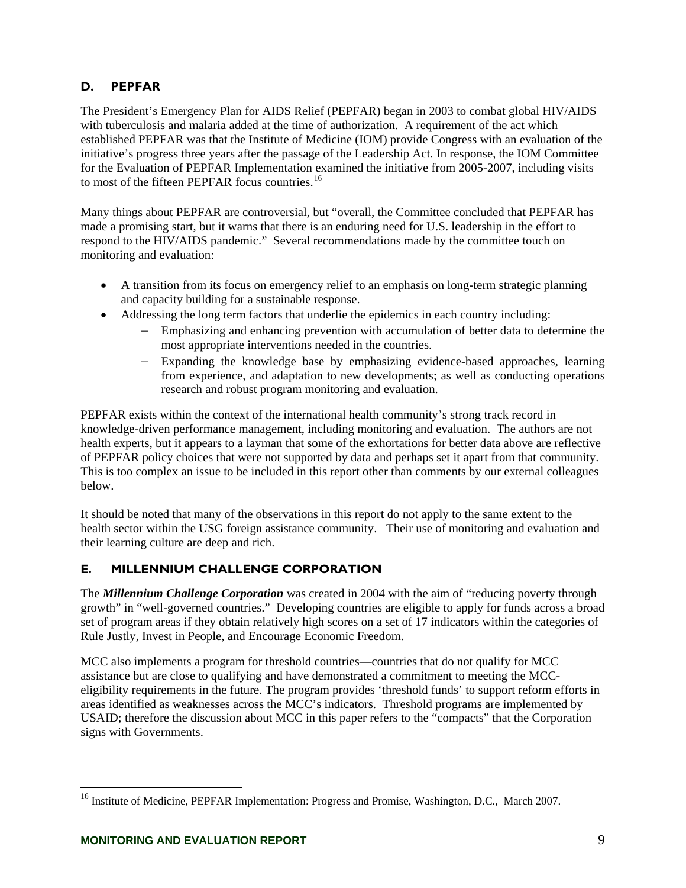# <span id="page-15-0"></span>**D. PEPFAR**

The President's Emergency Plan for AIDS Relief (PEPFAR) began in 2003 to combat global HIV/AIDS with tuberculosis and malaria added at the time of authorization. A requirement of the act which established PEPFAR was that the Institute of Medicine (IOM) provide Congress with an evaluation of the initiative's progress three years after the passage of the Leadership Act. In response, the IOM Committee for the Evaluation of PEPFAR Implementation examined the initiative from 2005-2007, including visits to most of the fifteen PEPFAR focus countries.<sup>[16](#page-15-1)</sup>

Many things about PEPFAR are controversial, but "overall, the Committee concluded that PEPFAR has made a promising start, but it warns that there is an enduring need for U.S. leadership in the effort to respond to the HIV/AIDS pandemic." Several recommendations made by the committee touch on monitoring and evaluation:

- A transition from its focus on emergency relief to an emphasis on long-term strategic planning and capacity building for a sustainable response.
- Addressing the long term factors that underlie the epidemics in each country including:
	- − Emphasizing and enhancing prevention with accumulation of better data to determine the most appropriate interventions needed in the countries.
	- − Expanding the knowledge base by emphasizing evidence-based approaches, learning from experience, and adaptation to new developments; as well as conducting operations research and robust program monitoring and evaluation.

PEPFAR exists within the context of the international health community's strong track record in knowledge-driven performance management, including monitoring and evaluation. The authors are not health experts, but it appears to a layman that some of the exhortations for better data above are reflective of PEPFAR policy choices that were not supported by data and perhaps set it apart from that community. This is too complex an issue to be included in this report other than comments by our external colleagues below.

It should be noted that many of the observations in this report do not apply to the same extent to the health sector within the USG foreign assistance community. Their use of monitoring and evaluation and their learning culture are deep and rich.

## **E. MILLENNIUM CHALLENGE CORPORATION**

The *Millennium Challenge Corporation* was created in 2004 with the aim of "reducing poverty through growth" in "well-governed countries." Developing countries are eligible to apply for funds across a broad set of program areas if they obtain relatively high scores on a set of 17 indicators within the categories of Rule Justly, Invest in People, and Encourage Economic Freedom.

MCC also implements a program for threshold countries—countries that do not qualify for MCC assistance but are close to qualifying and have demonstrated a commitment to meeting the MCCeligibility requirements in the future. The program provides 'threshold funds' to support reform efforts in areas identified as weaknesses across the MCC's indicators. Threshold programs are implemented by USAID; therefore the discussion about MCC in this paper refers to the "compacts" that the Corporation signs with Governments.

<span id="page-15-1"></span><sup>&</sup>lt;sup>16</sup> Institute of Medicine, PEPFAR Implementation: Progress and Promise, Washington, D.C., March 2007.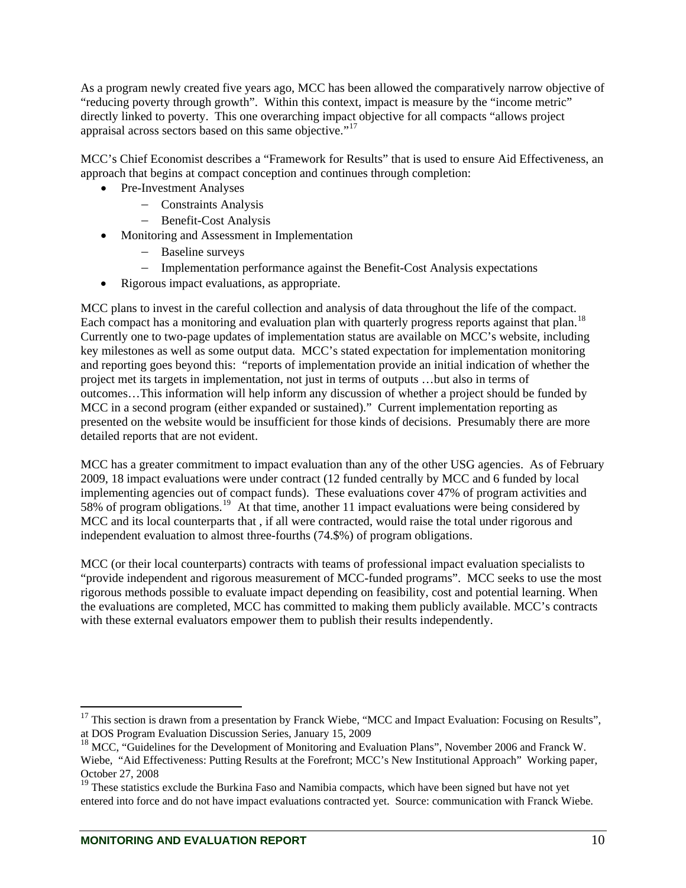As a program newly created five years ago, MCC has been allowed the comparatively narrow objective of "reducing poverty through growth". Within this context, impact is measure by the "income metric" directly linked to poverty. This one overarching impact objective for all compacts "allows project appraisal across sectors based on this same objective."[17](#page-16-0)

MCC's Chief Economist describes a "Framework for Results" that is used to ensure Aid Effectiveness, an approach that begins at compact conception and continues through completion:

- Pre-Investment Analyses
	- − Constraints Analysis
	- − Benefit-Cost Analysis
- Monitoring and Assessment in Implementation
	- − Baseline surveys
	- − Implementation performance against the Benefit-Cost Analysis expectations
- Rigorous impact evaluations, as appropriate.

MCC plans to invest in the careful collection and analysis of data throughout the life of the compact. Each compact has a monitoring and evaluation plan with quarterly progress reports against that plan.<sup>[18](#page-16-1)</sup> Currently one to two-page updates of implementation status are available on MCC's website, including key milestones as well as some output data. MCC's stated expectation for implementation monitoring and reporting goes beyond this: "reports of implementation provide an initial indication of whether the project met its targets in implementation, not just in terms of outputs …but also in terms of outcomes…This information will help inform any discussion of whether a project should be funded by MCC in a second program (either expanded or sustained)." Current implementation reporting as presented on the website would be insufficient for those kinds of decisions. Presumably there are more detailed reports that are not evident.

MCC has a greater commitment to impact evaluation than any of the other USG agencies. As of February 2009, 18 impact evaluations were under contract (12 funded centrally by MCC and 6 funded by local implementing agencies out of compact funds). These evaluations cover 47% of program activities and 58% of program obligations.[19](#page-16-2) At that time, another 11 impact evaluations were being considered by MCC and its local counterparts that , if all were contracted, would raise the total under rigorous and independent evaluation to almost three-fourths (74.\$%) of program obligations.

MCC (or their local counterparts) contracts with teams of professional impact evaluation specialists to "provide independent and rigorous measurement of MCC-funded programs". MCC seeks to use the most rigorous methods possible to evaluate impact depending on feasibility, cost and potential learning. When the evaluations are completed, MCC has committed to making them publicly available. MCC's contracts with these external evaluators empower them to publish their results independently.

<span id="page-16-0"></span> $17$  This section is drawn from a presentation by Franck Wiebe, "MCC and Impact Evaluation: Focusing on Results", at DOS Program Evaluation Discussion Series, January 15, 2009

<span id="page-16-1"></span><sup>&</sup>lt;sup>18</sup> MCC, "Guidelines for the Development of Monitoring and Evaluation Plans", November 2006 and Franck W. Wiebe, "Aid Effectiveness: Putting Results at the Forefront; MCC's New Institutional Approach" Working paper, October 27, 2008

<span id="page-16-2"></span><sup>&</sup>lt;sup>19</sup> These statistics exclude the Burkina Faso and Namibia compacts, which have been signed but have not yet entered into force and do not have impact evaluations contracted yet. Source: communication with Franck Wiebe.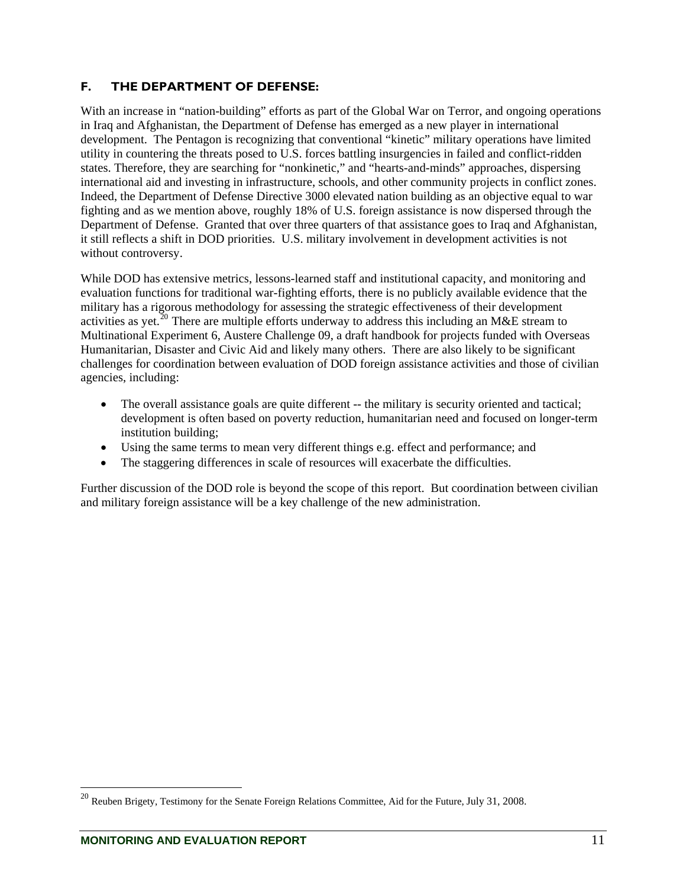# <span id="page-17-0"></span>**F. THE DEPARTMENT OF DEFENSE:**

With an increase in "nation-building" efforts as part of the Global War on Terror, and ongoing operations in Iraq and Afghanistan, the Department of Defense has emerged as a new player in international development. The Pentagon is recognizing that conventional "kinetic" military operations have limited utility in countering the threats posed to U.S. forces battling insurgencies in failed and conflict-ridden states. Therefore, they are searching for "nonkinetic," and "hearts-and-minds" approaches, dispersing international aid and investing in infrastructure, schools, and other community projects in conflict zones. Indeed, the Department of Defense Directive 3000 elevated nation building as an objective equal to war fighting and as we mention above, roughly 18% of U.S. foreign assistance is now dispersed through the Department of Defense. Granted that over three quarters of that assistance goes to Iraq and Afghanistan, it still reflects a shift in DOD priorities. U.S. military involvement in development activities is not without controversy.

While DOD has extensive metrics, lessons-learned staff and institutional capacity, and monitoring and evaluation functions for traditional war-fighting efforts, there is no publicly available evidence that the military has a rigorous methodology for assessing the strategic effectiveness of their development activities as yet.<sup>[20](#page-17-1)</sup> There are multiple efforts underway to address this including an M&E stream to Multinational Experiment 6, Austere Challenge 09, a draft handbook for projects funded with Overseas Humanitarian, Disaster and Civic Aid and likely many others. There are also likely to be significant challenges for coordination between evaluation of DOD foreign assistance activities and those of civilian agencies, including:

- The overall assistance goals are quite different -- the military is security oriented and tactical; development is often based on poverty reduction, humanitarian need and focused on longer-term institution building;
- Using the same terms to mean very different things e.g. effect and performance; and
- The staggering differences in scale of resources will exacerbate the difficulties.

Further discussion of the DOD role is beyond the scope of this report. But coordination between civilian and military foreign assistance will be a key challenge of the new administration.

<span id="page-17-1"></span><sup>&</sup>lt;sup>20</sup> Reuben Brigety, Testimony for the Senate Foreign Relations Committee, Aid for the Future, July 31, 2008.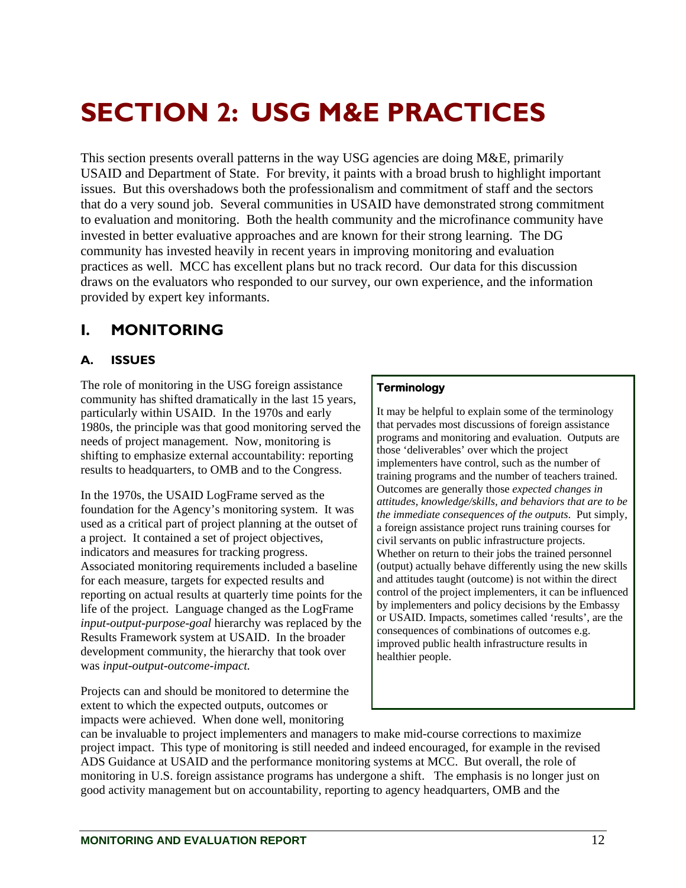# <span id="page-18-0"></span>**SECTION 2: USG M&E PRACTICES**

This section presents overall patterns in the way USG agencies are doing M&E, primarily USAID and Department of State. For brevity, it paints with a broad brush to highlight important issues. But this overshadows both the professionalism and commitment of staff and the sectors that do a very sound job. Several communities in USAID have demonstrated strong commitment to evaluation and monitoring. Both the health community and the microfinance community have invested in better evaluative approaches and are known for their strong learning. The DG community has invested heavily in recent years in improving monitoring and evaluation practices as well. MCC has excellent plans but no track record. Our data for this discussion draws on the evaluators who responded to our survey, our own experience, and the information provided by expert key informants.

# **I. MONITORING**

## **A. ISSUES**

The role of monitoring in the USG foreign assistance community has shifted dramatically in the last 15 years, particularly within USAID. In the 1970s and early 1980s, the principle was that good monitoring served the needs of project management. Now, monitoring is shifting to emphasize external accountability: reporting results to headquarters, to OMB and to the Congress.

In the 1970s, the USAID LogFrame served as the foundation for the Agency's monitoring system. It was used as a critical part of project planning at the outset of a project. It contained a set of project objectives, indicators and measures for tracking progress. Associated monitoring requirements included a baseline for each measure, targets for expected results and reporting on actual results at quarterly time points for the life of the project. Language changed as the LogFrame *input-output-purpose-goal* hierarchy was replaced by the Results Framework system at USAID. In the broader development community, the hierarchy that took over was *input-output-outcome-impact.* 

Projects can and should be monitored to determine the extent to which the expected outputs, outcomes or impacts were achieved. When done well, monitoring

#### **Terminology**

It may be helpful to explain some of the terminology that pervades most discussions of foreign assistance programs and monitoring and evaluation. Outputs are those 'deliverables' over which the project implementers have control, such as the number of training programs and the number of teachers trained. Outcomes are generally those *expected changes in attitudes, knowledge/skills, and behaviors that are to be the immediate consequences of the outputs*. Put simply, a foreign assistance project runs training courses for civil servants on public infrastructure projects. Whether on return to their jobs the trained personnel (output) actually behave differently using the new skills and attitudes taught (outcome) is not within the direct control of the project implementers, it can be influenced by implementers and policy decisions by the Embassy or USAID. Impacts, sometimes called 'results', are the consequences of combinations of outcomes e.g. improved public health infrastructure results in healthier people.

can be invaluable to project implementers and managers to make mid-course corrections to maximize project impact. This type of monitoring is still needed and indeed encouraged, for example in the revised ADS Guidance at USAID and the performance monitoring systems at MCC. But overall, the role of monitoring in U.S. foreign assistance programs has undergone a shift. The emphasis is no longer just on good activity management but on accountability, reporting to agency headquarters, OMB and the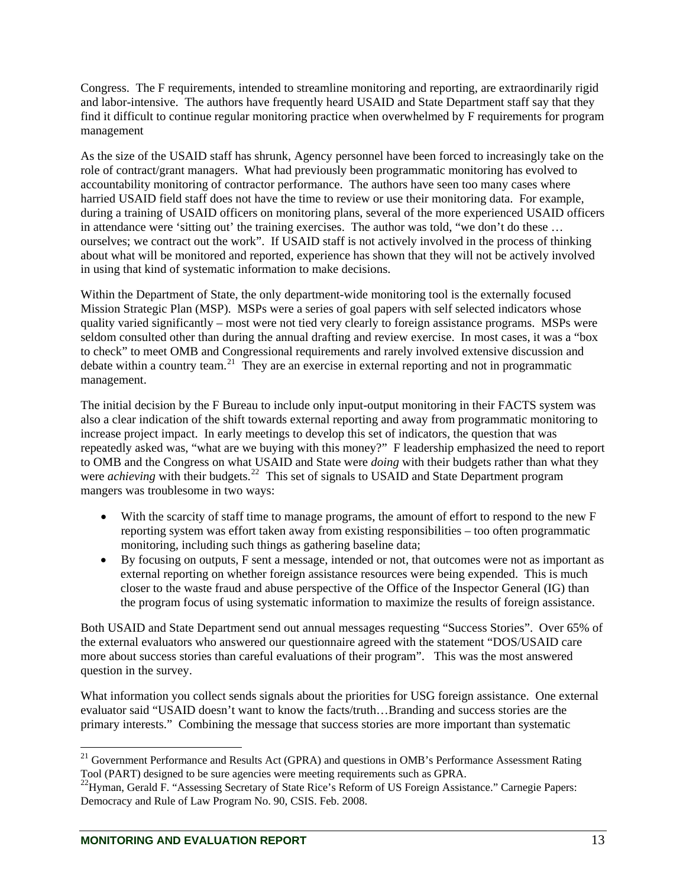Congress. The F requirements, intended to streamline monitoring and reporting, are extraordinarily rigid and labor-intensive. The authors have frequently heard USAID and State Department staff say that they find it difficult to continue regular monitoring practice when overwhelmed by F requirements for program management

As the size of the USAID staff has shrunk, Agency personnel have been forced to increasingly take on the role of contract/grant managers. What had previously been programmatic monitoring has evolved to accountability monitoring of contractor performance. The authors have seen too many cases where harried USAID field staff does not have the time to review or use their monitoring data. For example, during a training of USAID officers on monitoring plans, several of the more experienced USAID officers in attendance were 'sitting out' the training exercises. The author was told, "we don't do these … ourselves; we contract out the work". If USAID staff is not actively involved in the process of thinking about what will be monitored and reported, experience has shown that they will not be actively involved in using that kind of systematic information to make decisions.

Within the Department of State, the only department-wide monitoring tool is the externally focused Mission Strategic Plan (MSP). MSPs were a series of goal papers with self selected indicators whose quality varied significantly – most were not tied very clearly to foreign assistance programs. MSPs were seldom consulted other than during the annual drafting and review exercise. In most cases, it was a "box to check" to meet OMB and Congressional requirements and rarely involved extensive discussion and debate within a country team.[21](#page-19-0) They are an exercise in external reporting and not in programmatic management.

The initial decision by the F Bureau to include only input-output monitoring in their FACTS system was also a clear indication of the shift towards external reporting and away from programmatic monitoring to increase project impact. In early meetings to develop this set of indicators, the question that was repeatedly asked was, "what are we buying with this money?" F leadership emphasized the need to report to OMB and the Congress on what USAID and State were *doing* with their budgets rather than what they were *achieving* with their budgets.<sup>[22](#page-19-1)</sup> This set of signals to USAID and State Department program mangers was troublesome in two ways:

- With the scarcity of staff time to manage programs, the amount of effort to respond to the new F reporting system was effort taken away from existing responsibilities – too often programmatic monitoring, including such things as gathering baseline data;
- By focusing on outputs, F sent a message, intended or not, that outcomes were not as important as external reporting on whether foreign assistance resources were being expended. This is much closer to the waste fraud and abuse perspective of the Office of the Inspector General (IG) than the program focus of using systematic information to maximize the results of foreign assistance.

Both USAID and State Department send out annual messages requesting "Success Stories". Over 65% of the external evaluators who answered our questionnaire agreed with the statement "DOS/USAID care more about success stories than careful evaluations of their program". This was the most answered question in the survey.

What information you collect sends signals about the priorities for USG foreign assistance. One external evaluator said "USAID doesn't want to know the facts/truth…Branding and success stories are the primary interests." Combining the message that success stories are more important than systematic

<span id="page-19-0"></span><sup>&</sup>lt;sup>21</sup> Government Performance and Results Act (GPRA) and questions in OMB's Performance Assessment Rating Tool (PART) designed to be sure agencies were meeting requirements such as GPRA.

<span id="page-19-1"></span><sup>&</sup>lt;sup>22</sup>Hyman, Gerald F. "Assessing Secretary of State Rice's Reform of US Foreign Assistance." Carnegie Papers: Democracy and Rule of Law Program No. 90, CSIS. Feb. 2008.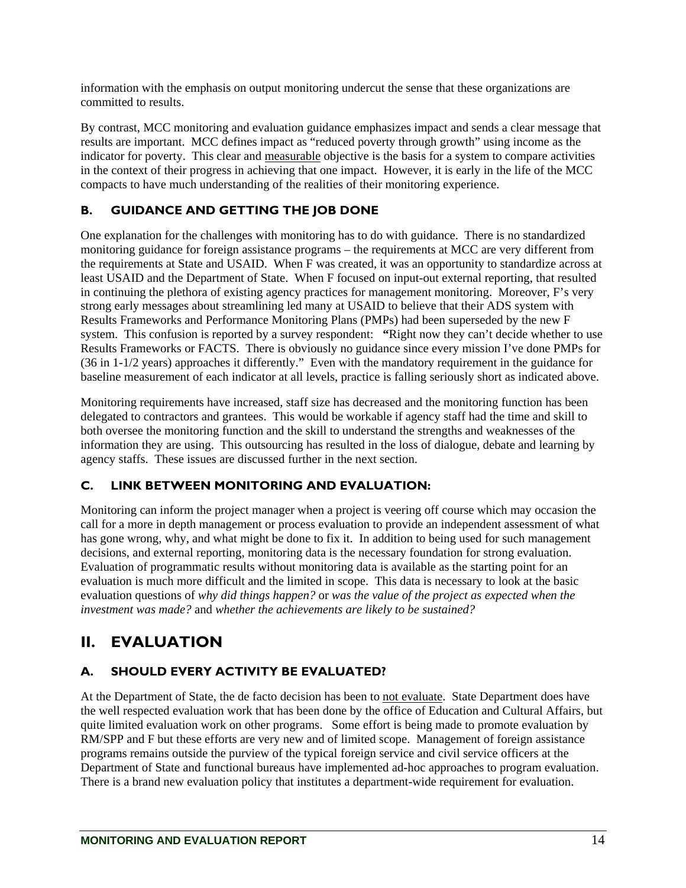<span id="page-20-0"></span>information with the emphasis on output monitoring undercut the sense that these organizations are committed to results.

By contrast, MCC monitoring and evaluation guidance emphasizes impact and sends a clear message that results are important. MCC defines impact as "reduced poverty through growth" using income as the indicator for poverty. This clear and measurable objective is the basis for a system to compare activities in the context of their progress in achieving that one impact. However, it is early in the life of the MCC compacts to have much understanding of the realities of their monitoring experience.

### **B. GUIDANCE AND GETTING THE JOB DONE**

One explanation for the challenges with monitoring has to do with guidance. There is no standardized monitoring guidance for foreign assistance programs – the requirements at MCC are very different from the requirements at State and USAID. When F was created, it was an opportunity to standardize across at least USAID and the Department of State. When F focused on input-out external reporting, that resulted in continuing the plethora of existing agency practices for management monitoring. Moreover, F's very strong early messages about streamlining led many at USAID to believe that their ADS system with Results Frameworks and Performance Monitoring Plans (PMPs) had been superseded by the new F system. This confusion is reported by a survey respondent: **"**Right now they can't decide whether to use Results Frameworks or FACTS. There is obviously no guidance since every mission I've done PMPs for (36 in 1-1/2 years) approaches it differently." Even with the mandatory requirement in the guidance for baseline measurement of each indicator at all levels, practice is falling seriously short as indicated above.

Monitoring requirements have increased, staff size has decreased and the monitoring function has been delegated to contractors and grantees. This would be workable if agency staff had the time and skill to both oversee the monitoring function and the skill to understand the strengths and weaknesses of the information they are using. This outsourcing has resulted in the loss of dialogue, debate and learning by agency staffs. These issues are discussed further in the next section.

### **C. LINK BETWEEN MONITORING AND EVALUATION:**

Monitoring can inform the project manager when a project is veering off course which may occasion the call for a more in depth management or process evaluation to provide an independent assessment of what has gone wrong, why, and what might be done to fix it. In addition to being used for such management decisions, and external reporting, monitoring data is the necessary foundation for strong evaluation. Evaluation of programmatic results without monitoring data is available as the starting point for an evaluation is much more difficult and the limited in scope. This data is necessary to look at the basic evaluation questions of *why did things happen?* or *was the value of the project as expected when the investment was made?* and *whether the achievements are likely to be sustained?* 

# **II. EVALUATION**

## **A. SHOULD EVERY ACTIVITY BE EVALUATED?**

At the Department of State, the de facto decision has been to not evaluate. State Department does have the well respected evaluation work that has been done by the office of Education and Cultural Affairs, but quite limited evaluation work on other programs. Some effort is being made to promote evaluation by RM/SPP and F but these efforts are very new and of limited scope. Management of foreign assistance programs remains outside the purview of the typical foreign service and civil service officers at the Department of State and functional bureaus have implemented ad-hoc approaches to program evaluation. There is a brand new evaluation policy that institutes a department-wide requirement for evaluation.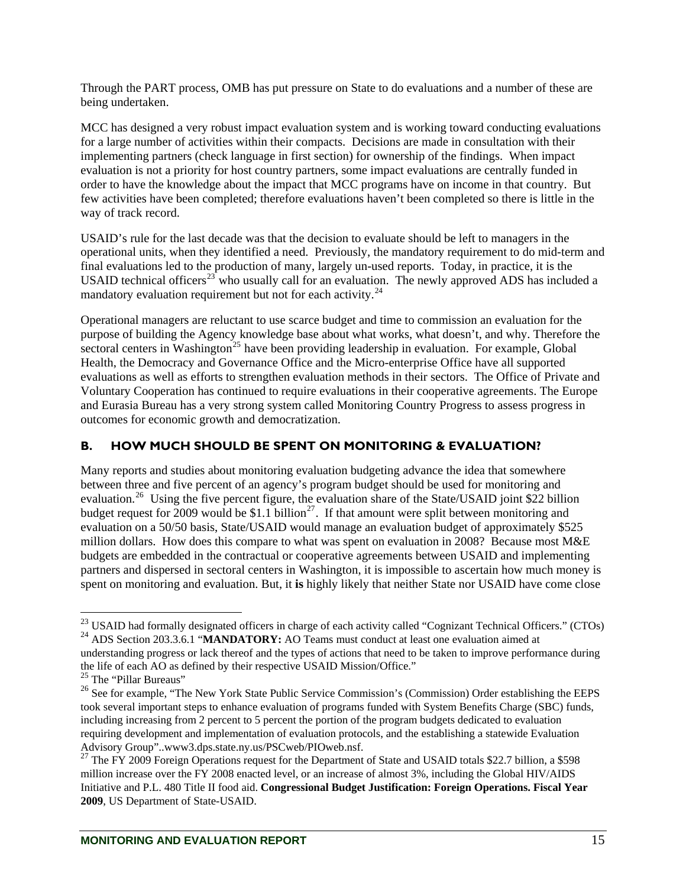<span id="page-21-0"></span>Through the PART process, OMB has put pressure on State to do evaluations and a number of these are being undertaken.

MCC has designed a very robust impact evaluation system and is working toward conducting evaluations for a large number of activities within their compacts. Decisions are made in consultation with their implementing partners (check language in first section) for ownership of the findings. When impact evaluation is not a priority for host country partners, some impact evaluations are centrally funded in order to have the knowledge about the impact that MCC programs have on income in that country. But few activities have been completed; therefore evaluations haven't been completed so there is little in the way of track record.

USAID's rule for the last decade was that the decision to evaluate should be left to managers in the operational units, when they identified a need. Previously, the mandatory requirement to do mid-term and final evaluations led to the production of many, largely un-used reports. Today, in practice, it is the USAID technical officers<sup>[23](#page-21-1)</sup> who usually call for an evaluation. The newly approved ADS has included a mandatory evaluation requirement but not for each activity. $24$ 

Operational managers are reluctant to use scarce budget and time to commission an evaluation for the purpose of building the Agency knowledge base about what works, what doesn't, and why. Therefore the sectoral centers in Washington<sup>[25](#page-21-3)</sup> have been providing leadership in evaluation. For example, Global Health, the Democracy and Governance Office and the Micro-enterprise Office have all supported evaluations as well as efforts to strengthen evaluation methods in their sectors. The Office of Private and Voluntary Cooperation has continued to require evaluations in their cooperative agreements. The Europe and Eurasia Bureau has a very strong system called Monitoring Country Progress to assess progress in outcomes for economic growth and democratization.

# **B. HOW MUCH SHOULD BE SPENT ON MONITORING & EVALUATION?**

Many reports and studies about monitoring evaluation budgeting advance the idea that somewhere between three and five percent of an agency's program budget should be used for monitoring and evaluation.<sup>[26](#page-21-4)</sup> Using the five percent figure, the evaluation share of the State/USAID joint \$22 billion budget request for 2009 would be \$1.1 billion<sup>[27](#page-21-5)</sup>. If that amount were split between monitoring and evaluation on a 50/50 basis, State/USAID would manage an evaluation budget of approximately \$525 million dollars. How does this compare to what was spent on evaluation in 2008? Because most M&E budgets are embedded in the contractual or cooperative agreements between USAID and implementing partners and dispersed in sectoral centers in Washington, it is impossible to ascertain how much money is spent on monitoring and evaluation. But, it **is** highly likely that neither State nor USAID have come close

<span id="page-21-1"></span> $^{23}$  USAID had formally designated officers in charge of each activity called "Cognizant Technical Officers." (CTOs) <sup>24</sup> ADS Section 203.3.6.1 "**MANDATORY:** AO Teams must conduct at least one evaluation aimed at

<span id="page-21-2"></span>understanding progress or lack thereof and the types of actions that need to be taken to improve performance during the life of each AO as defined by their respective USAID Mission/Office."

<sup>&</sup>lt;sup>25</sup> The "Pillar Bureaus"

<span id="page-21-4"></span><span id="page-21-3"></span><sup>&</sup>lt;sup>26</sup> See for example, "The New York State Public Service Commission's (Commission) Order establishing the EEPS took several important steps to enhance evaluation of programs funded with System Benefits Charge (SBC) funds, including increasing from 2 percent to 5 percent the portion of the program budgets dedicated to evaluation requiring development and implementation of evaluation protocols, and the establishing a statewide Evaluation Advisory Group"..www3.dps.state.ny.us/PSCweb/PIOweb.nsf.

<span id="page-21-5"></span><sup>&</sup>lt;sup>27</sup> The FY 2009 Foreign Operations request for the Department of State and USAID totals \$22.7 billion, a \$598 million increase over the FY 2008 enacted level, or an increase of almost 3%, including the Global HIV/AIDS Initiative and P.L. 480 Title II food aid. **Congressional Budget Justification: Foreign Operations. Fiscal Year 2009**, US Department of State-USAID.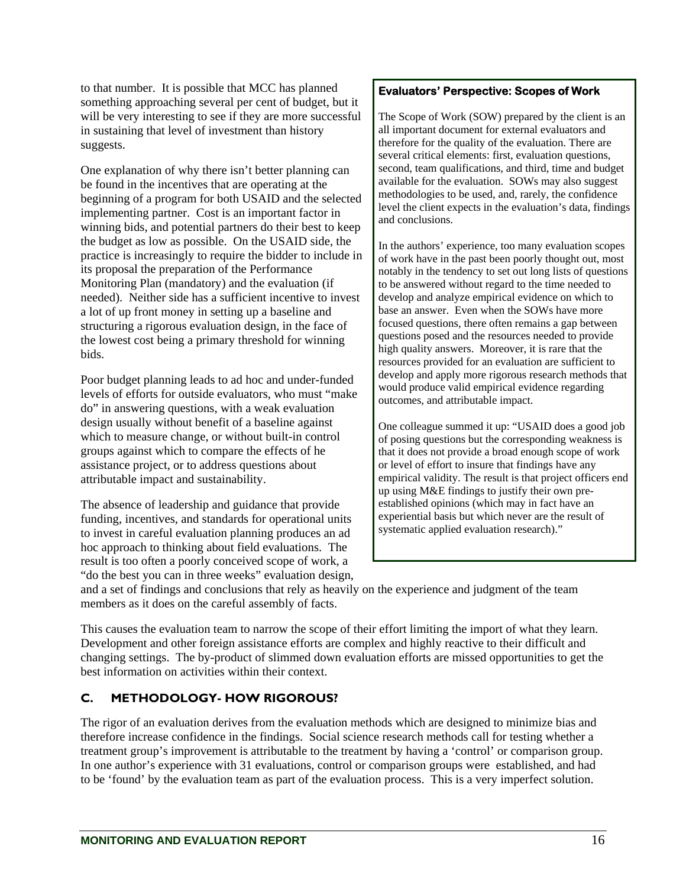<span id="page-22-0"></span>to that number. It is possible that MCC has planned something approaching several per cent of budget, but it will be very interesting to see if they are more successful in sustaining that level of investment than history suggests.

One explanation of why there isn't better planning can be found in the incentives that are operating at the beginning of a program for both USAID and the selected implementing partner. Cost is an important factor in winning bids, and potential partners do their best to keep the budget as low as possible. On the USAID side, the practice is increasingly to require the bidder to include in its proposal the preparation of the Performance Monitoring Plan (mandatory) and the evaluation (if needed). Neither side has a sufficient incentive to invest a lot of up front money in setting up a baseline and structuring a rigorous evaluation design, in the face of the lowest cost being a primary threshold for winning bids.

Poor budget planning leads to ad hoc and under-funded levels of efforts for outside evaluators, who must "make do" in answering questions, with a weak evaluation design usually without benefit of a baseline against which to measure change, or without built-in control groups against which to compare the effects of he assistance project, or to address questions about attributable impact and sustainability.

The absence of leadership and guidance that provide funding, incentives, and standards for operational units to invest in careful evaluation planning produces an ad hoc approach to thinking about field evaluations. The result is too often a poorly conceived scope of work, a "do the best you can in three weeks" evaluation design,

#### **Evaluators' Perspective: Scopes of Work**

The Scope of Work (SOW) prepared by the client is an all important document for external evaluators and therefore for the quality of the evaluation. There are several critical elements: first, evaluation questions, second, team qualifications, and third, time and budget available for the evaluation. SOWs may also suggest methodologies to be used, and, rarely, the confidence level the client expects in the evaluation's data, findings and conclusions.

In the authors' experience, too many evaluation scopes of work have in the past been poorly thought out, most notably in the tendency to set out long lists of questions to be answered without regard to the time needed to develop and analyze empirical evidence on which to base an answer. Even when the SOWs have more focused questions, there often remains a gap between questions posed and the resources needed to provide high quality answers. Moreover, it is rare that the resources provided for an evaluation are sufficient to develop and apply more rigorous research methods that would produce valid empirical evidence regarding outcomes, and attributable impact.

One colleague summed it up: "USAID does a good job of posing questions but the corresponding weakness is that it does not provide a broad enough scope of work or level of effort to insure that findings have any empirical validity. The result is that project officers end up using M&E findings to justify their own preestablished opinions (which may in fact have an experiential basis but which never are the result of systematic applied evaluation research)."

and a set of findings and conclusions that rely as heavily on the experience and judgment of the team members as it does on the careful assembly of facts.

This causes the evaluation team to narrow the scope of their effort limiting the import of what they learn. Development and other foreign assistance efforts are complex and highly reactive to their difficult and changing settings. The by-product of slimmed down evaluation efforts are missed opportunities to get the best information on activities within their context.

# **C. METHODOLOGY- HOW RIGOROUS?**

The rigor of an evaluation derives from the evaluation methods which are designed to minimize bias and therefore increase confidence in the findings. Social science research methods call for testing whether a treatment group's improvement is attributable to the treatment by having a 'control' or comparison group. In one author's experience with 31 evaluations, control or comparison groups were established, and had to be 'found' by the evaluation team as part of the evaluation process. This is a very imperfect solution.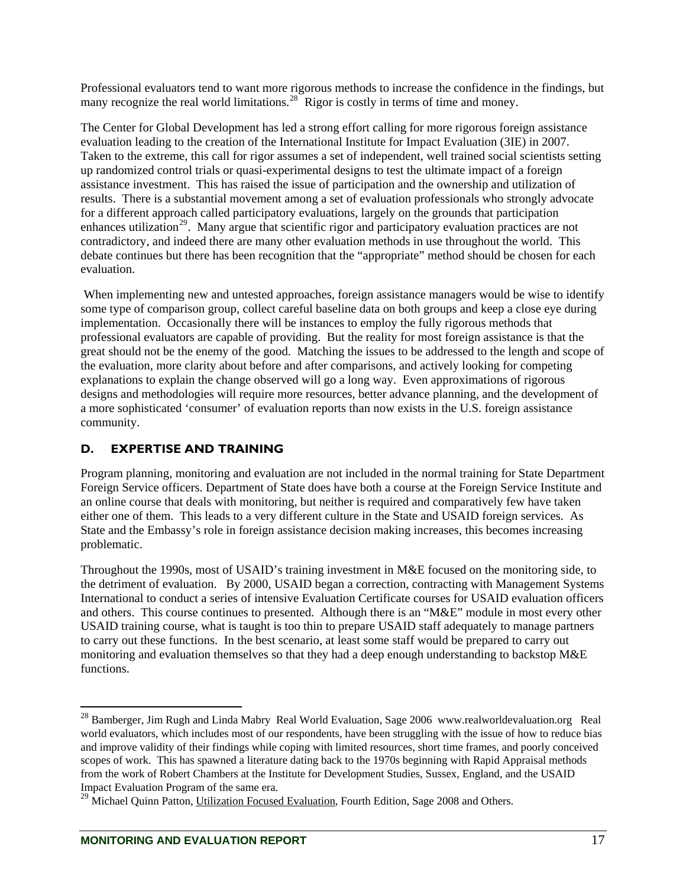<span id="page-23-0"></span>Professional evaluators tend to want more rigorous methods to increase the confidence in the findings, but many recognize the real world limitations.<sup>[28](#page-23-1)</sup> Rigor is costly in terms of time and money.

The Center for Global Development has led a strong effort calling for more rigorous foreign assistance evaluation leading to the creation of the International Institute for Impact Evaluation (3IE) in 2007. Taken to the extreme, this call for rigor assumes a set of independent, well trained social scientists setting up randomized control trials or quasi-experimental designs to test the ultimate impact of a foreign assistance investment. This has raised the issue of participation and the ownership and utilization of results. There is a substantial movement among a set of evaluation professionals who strongly advocate for a different approach called participatory evaluations, largely on the grounds that participation enhances utilization<sup>[29](#page-23-2)</sup>. Many argue that scientific rigor and participatory evaluation practices are not contradictory, and indeed there are many other evaluation methods in use throughout the world. This debate continues but there has been recognition that the "appropriate" method should be chosen for each evaluation.

When implementing new and untested approaches, foreign assistance managers would be wise to identify some type of comparison group, collect careful baseline data on both groups and keep a close eye during implementation. Occasionally there will be instances to employ the fully rigorous methods that professional evaluators are capable of providing. But the reality for most foreign assistance is that the great should not be the enemy of the good. Matching the issues to be addressed to the length and scope of the evaluation, more clarity about before and after comparisons, and actively looking for competing explanations to explain the change observed will go a long way. Even approximations of rigorous designs and methodologies will require more resources, better advance planning, and the development of a more sophisticated 'consumer' of evaluation reports than now exists in the U.S. foreign assistance community.

## **D. EXPERTISE AND TRAINING**

Program planning, monitoring and evaluation are not included in the normal training for State Department Foreign Service officers. Department of State does have both a course at the Foreign Service Institute and an online course that deals with monitoring, but neither is required and comparatively few have taken either one of them. This leads to a very different culture in the State and USAID foreign services. As State and the Embassy's role in foreign assistance decision making increases, this becomes increasing problematic.

Throughout the 1990s, most of USAID's training investment in M&E focused on the monitoring side, to the detriment of evaluation. By 2000, USAID began a correction, contracting with Management Systems International to conduct a series of intensive Evaluation Certificate courses for USAID evaluation officers and others. This course continues to presented. Although there is an "M&E" module in most every other USAID training course, what is taught is too thin to prepare USAID staff adequately to manage partners to carry out these functions. In the best scenario, at least some staff would be prepared to carry out monitoring and evaluation themselves so that they had a deep enough understanding to backstop M&E functions.

<span id="page-23-1"></span> $^{28}$  Bamberger, Jim Rugh and Linda Mabry Real World Evaluation, Sage 2006 www.realworldevaluation.org Real world evaluators, which includes most of our respondents, have been struggling with the issue of how to reduce bias and improve validity of their findings while coping with limited resources, short time frames, and poorly conceived scopes of work. This has spawned a literature dating back to the 1970s beginning with Rapid Appraisal methods from the work of Robert Chambers at the Institute for Development Studies, Sussex, England, and the USAID Impact Evaluation Program of the same era.

<span id="page-23-2"></span> $^{29}$  Michael Quinn Patton, Utilization Focused Evaluation, Fourth Edition, Sage 2008 and Others.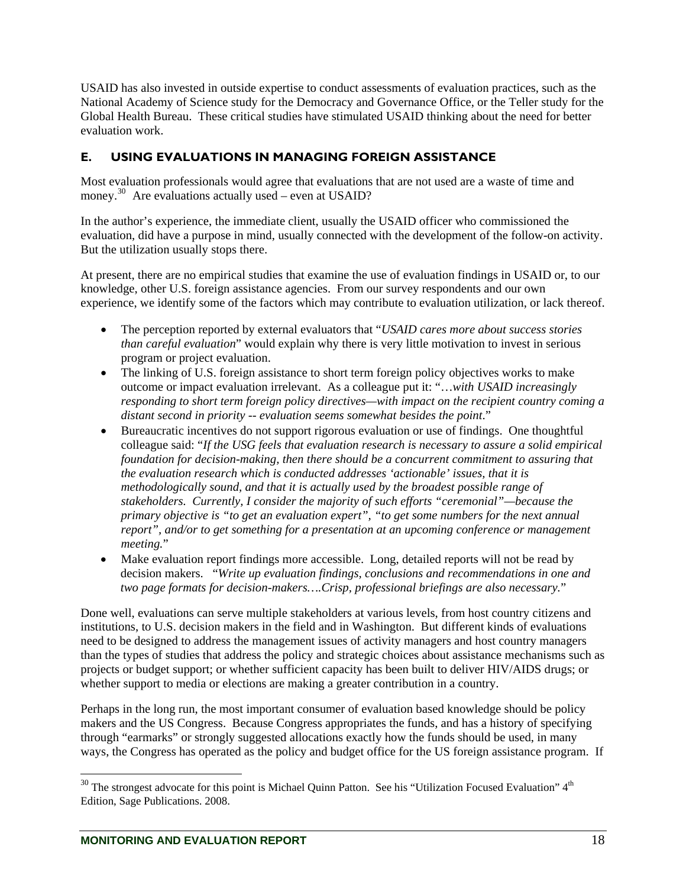<span id="page-24-0"></span>USAID has also invested in outside expertise to conduct assessments of evaluation practices, such as the National Academy of Science study for the Democracy and Governance Office, or the Teller study for the Global Health Bureau. These critical studies have stimulated USAID thinking about the need for better evaluation work.

## **E. USING EVALUATIONS IN MANAGING FOREIGN ASSISTANCE**

Most evaluation professionals would agree that evaluations that are not used are a waste of time and money.<sup>[30](#page-24-1)</sup> Are evaluations actually used – even at USAID?

In the author's experience, the immediate client, usually the USAID officer who commissioned the evaluation, did have a purpose in mind, usually connected with the development of the follow-on activity. But the utilization usually stops there.

At present, there are no empirical studies that examine the use of evaluation findings in USAID or, to our knowledge, other U.S. foreign assistance agencies. From our survey respondents and our own experience, we identify some of the factors which may contribute to evaluation utilization, or lack thereof.

- The perception reported by external evaluators that "*USAID cares more about success stories than careful evaluation*" would explain why there is very little motivation to invest in serious program or project evaluation.
- The linking of U.S. foreign assistance to short term foreign policy objectives works to make outcome or impact evaluation irrelevant. As a colleague put it: "…*with USAID increasingly responding to short term foreign policy directives—with impact on the recipient country coming a distant second in priority -- evaluation seems somewhat besides the point*."
- Bureaucratic incentives do not support rigorous evaluation or use of findings. One thoughtful colleague said: "*If the USG feels that evaluation research is necessary to assure a solid empirical foundation for decision-making, then there should be a concurrent commitment to assuring that the evaluation research which is conducted addresses 'actionable' issues, that it is methodologically sound, and that it is actually used by the broadest possible range of stakeholders. Currently, I consider the majority of such efforts "ceremonial"—because the primary objective is "to get an evaluation expert", "to get some numbers for the next annual report", and/or to get something for a presentation at an upcoming conference or management meeting.*"
- Make evaluation report findings more accessible. Long, detailed reports will not be read by decision makers. "*Write up evaluation findings, conclusions and recommendations in one and two page formats for decision-makers….Crisp, professional briefings are also necessary.*"

Done well, evaluations can serve multiple stakeholders at various levels, from host country citizens and institutions, to U.S. decision makers in the field and in Washington. But different kinds of evaluations need to be designed to address the management issues of activity managers and host country managers than the types of studies that address the policy and strategic choices about assistance mechanisms such as projects or budget support; or whether sufficient capacity has been built to deliver HIV/AIDS drugs; or whether support to media or elections are making a greater contribution in a country.

Perhaps in the long run, the most important consumer of evaluation based knowledge should be policy makers and the US Congress. Because Congress appropriates the funds, and has a history of specifying through "earmarks" or strongly suggested allocations exactly how the funds should be used, in many ways, the Congress has operated as the policy and budget office for the US foreign assistance program. If

<span id="page-24-1"></span> $30$  The strongest advocate for this point is Michael Quinn Patton. See his "Utilization Focused Evaluation"  $4<sup>th</sup>$ Edition, Sage Publications. 2008.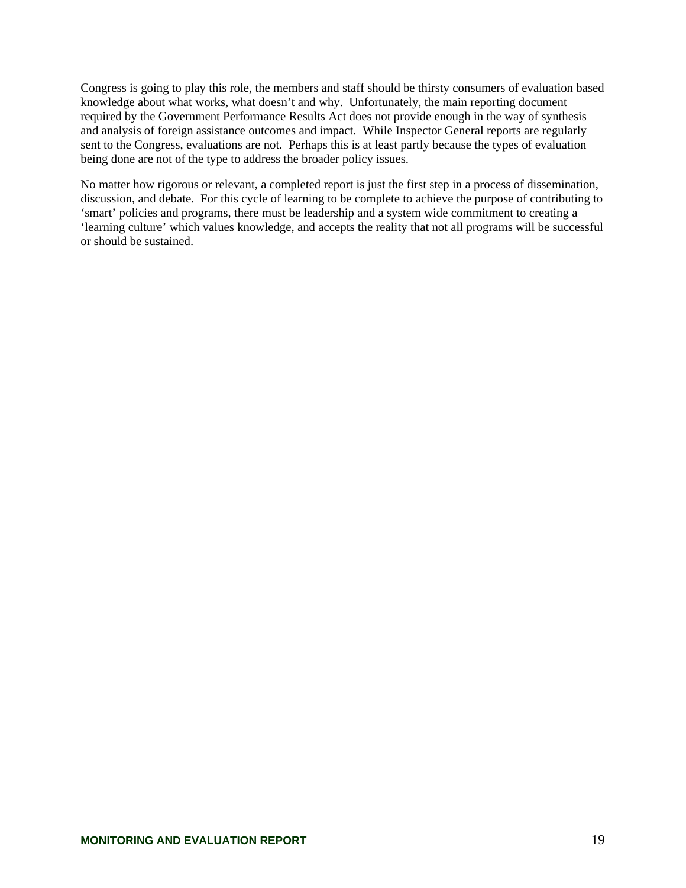Congress is going to play this role, the members and staff should be thirsty consumers of evaluation based knowledge about what works, what doesn't and why. Unfortunately, the main reporting document required by the Government Performance Results Act does not provide enough in the way of synthesis and analysis of foreign assistance outcomes and impact. While Inspector General reports are regularly sent to the Congress, evaluations are not. Perhaps this is at least partly because the types of evaluation being done are not of the type to address the broader policy issues.

No matter how rigorous or relevant, a completed report is just the first step in a process of dissemination, discussion, and debate. For this cycle of learning to be complete to achieve the purpose of contributing to 'smart' policies and programs, there must be leadership and a system wide commitment to creating a 'learning culture' which values knowledge, and accepts the reality that not all programs will be successful or should be sustained.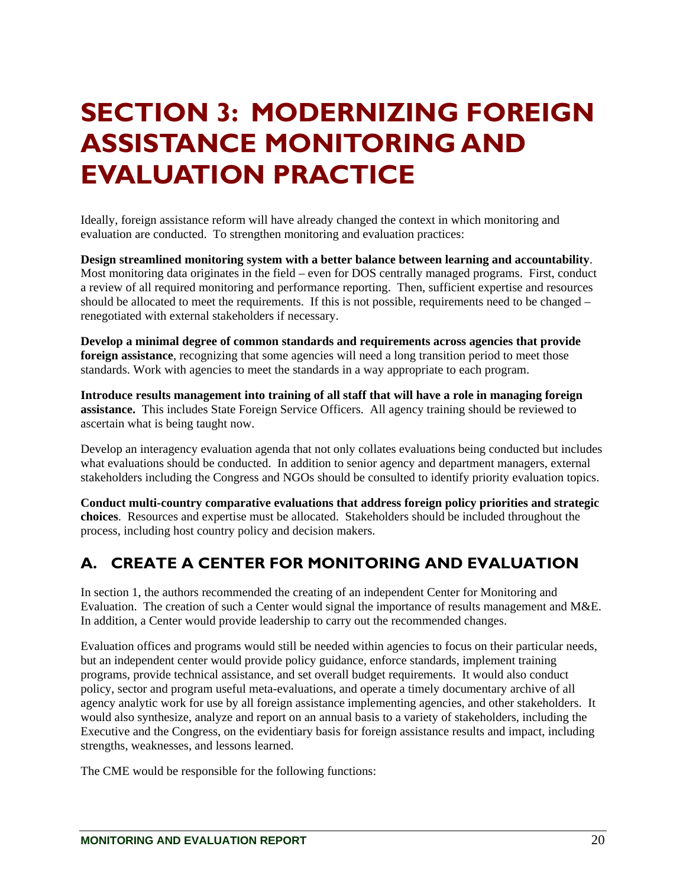# <span id="page-26-0"></span>**SECTION 3: MODERNIZING FOREIGN ASSISTANCE MONITORING AND EVALUATION PRACTICE**

Ideally, foreign assistance reform will have already changed the context in which monitoring and evaluation are conducted. To strengthen monitoring and evaluation practices:

**Design streamlined monitoring system with a better balance between learning and accountability**. Most monitoring data originates in the field – even for DOS centrally managed programs. First, conduct a review of all required monitoring and performance reporting. Then, sufficient expertise and resources should be allocated to meet the requirements. If this is not possible, requirements need to be changed – renegotiated with external stakeholders if necessary.

**Develop a minimal degree of common standards and requirements across agencies that provide foreign assistance**, recognizing that some agencies will need a long transition period to meet those standards. Work with agencies to meet the standards in a way appropriate to each program.

**Introduce results management into training of all staff that will have a role in managing foreign assistance.** This includes State Foreign Service Officers. All agency training should be reviewed to ascertain what is being taught now.

Develop an interagency evaluation agenda that not only collates evaluations being conducted but includes what evaluations should be conducted. In addition to senior agency and department managers, external stakeholders including the Congress and NGOs should be consulted to identify priority evaluation topics.

**Conduct multi-country comparative evaluations that address foreign policy priorities and strategic choices**. Resources and expertise must be allocated. Stakeholders should be included throughout the process, including host country policy and decision makers.

# **A. CREATE A CENTER FOR MONITORING AND EVALUATION**

In section 1, the authors recommended the creating of an independent Center for Monitoring and Evaluation. The creation of such a Center would signal the importance of results management and M&E. In addition, a Center would provide leadership to carry out the recommended changes.

Evaluation offices and programs would still be needed within agencies to focus on their particular needs, but an independent center would provide policy guidance, enforce standards, implement training programs, provide technical assistance, and set overall budget requirements. It would also conduct policy, sector and program useful meta-evaluations, and operate a timely documentary archive of all agency analytic work for use by all foreign assistance implementing agencies, and other stakeholders. It would also synthesize, analyze and report on an annual basis to a variety of stakeholders, including the Executive and the Congress, on the evidentiary basis for foreign assistance results and impact, including strengths, weaknesses, and lessons learned.

The CME would be responsible for the following functions: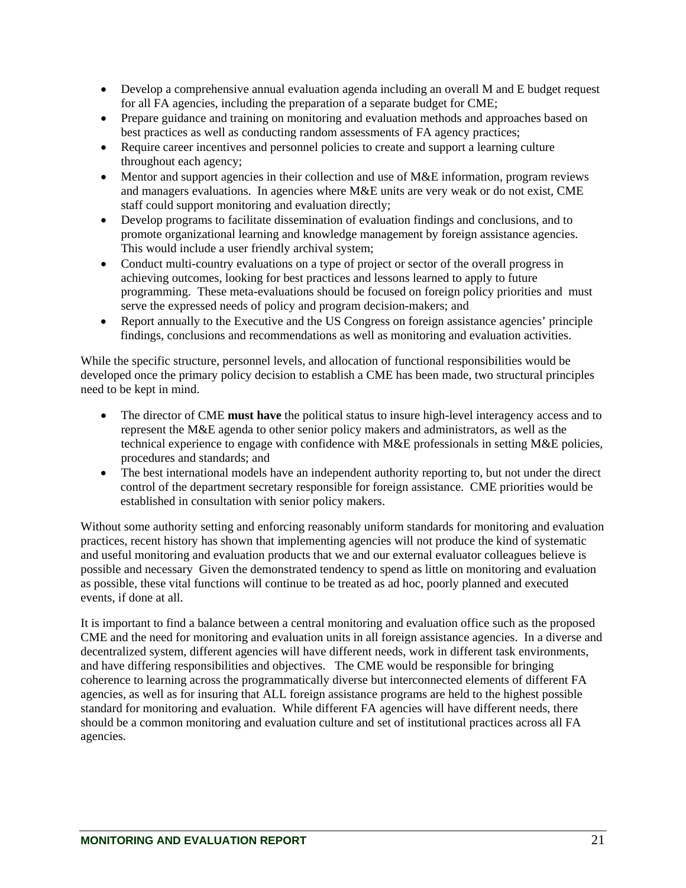- Develop a comprehensive annual evaluation agenda including an overall M and E budget request for all FA agencies, including the preparation of a separate budget for CME;
- Prepare guidance and training on monitoring and evaluation methods and approaches based on best practices as well as conducting random assessments of FA agency practices;
- Require career incentives and personnel policies to create and support a learning culture throughout each agency;
- Mentor and support agencies in their collection and use of M&E information, program reviews and managers evaluations. In agencies where M&E units are very weak or do not exist, CME staff could support monitoring and evaluation directly;
- Develop programs to facilitate dissemination of evaluation findings and conclusions, and to promote organizational learning and knowledge management by foreign assistance agencies. This would include a user friendly archival system;
- Conduct multi-country evaluations on a type of project or sector of the overall progress in achieving outcomes, looking for best practices and lessons learned to apply to future programming. These meta-evaluations should be focused on foreign policy priorities and must serve the expressed needs of policy and program decision-makers; and
- Report annually to the Executive and the US Congress on foreign assistance agencies' principle findings, conclusions and recommendations as well as monitoring and evaluation activities.

While the specific structure, personnel levels, and allocation of functional responsibilities would be developed once the primary policy decision to establish a CME has been made, two structural principles need to be kept in mind.

- The director of CME **must have** the political status to insure high-level interagency access and to represent the M&E agenda to other senior policy makers and administrators, as well as the technical experience to engage with confidence with M&E professionals in setting M&E policies, procedures and standards; and
- The best international models have an independent authority reporting to, but not under the direct control of the department secretary responsible for foreign assistance. CME priorities would be established in consultation with senior policy makers.

Without some authority setting and enforcing reasonably uniform standards for monitoring and evaluation practices, recent history has shown that implementing agencies will not produce the kind of systematic and useful monitoring and evaluation products that we and our external evaluator colleagues believe is possible and necessary Given the demonstrated tendency to spend as little on monitoring and evaluation as possible, these vital functions will continue to be treated as ad hoc, poorly planned and executed events, if done at all.

It is important to find a balance between a central monitoring and evaluation office such as the proposed CME and the need for monitoring and evaluation units in all foreign assistance agencies. In a diverse and decentralized system, different agencies will have different needs, work in different task environments, and have differing responsibilities and objectives. The CME would be responsible for bringing coherence to learning across the programmatically diverse but interconnected elements of different FA agencies, as well as for insuring that ALL foreign assistance programs are held to the highest possible standard for monitoring and evaluation. While different FA agencies will have different needs, there should be a common monitoring and evaluation culture and set of institutional practices across all FA agencies.